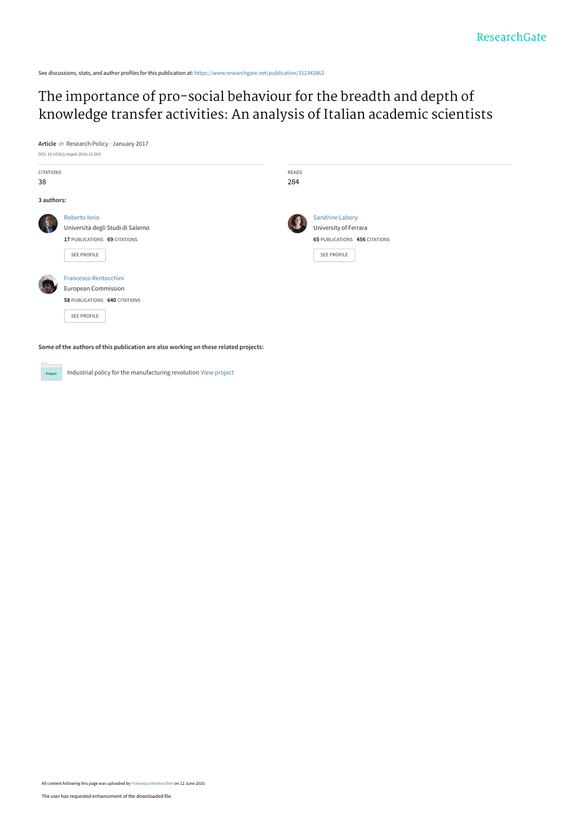See discussions, stats, and author profiles for this publication at: [https://www.researchgate.net/publication/312342862](https://www.researchgate.net/publication/312342862_The_importance_of_pro-social_behaviour_for_the_breadth_and_depth_of_knowledge_transfer_activities_An_analysis_of_Italian_academic_scientists?enrichId=rgreq-7e9b8d63e74846fbb0fbbeb10de8b5cd-XXX&enrichSource=Y292ZXJQYWdlOzMxMjM0Mjg2MjtBUzo5MDE0OTU1MDM0NzA1OTJAMTU5MTk0NDY4NTAwNQ%3D%3D&el=1_x_2&_esc=publicationCoverPdf)

# The importance of pro-social behaviour for the breadth and depth of [knowledge transfer activities: An analysis of Italian academic scientists](https://www.researchgate.net/publication/312342862_The_importance_of_pro-social_behaviour_for_the_breadth_and_depth_of_knowledge_transfer_activities_An_analysis_of_Italian_academic_scientists?enrichId=rgreq-7e9b8d63e74846fbb0fbbeb10de8b5cd-XXX&enrichSource=Y292ZXJQYWdlOzMxMjM0Mjg2MjtBUzo5MDE0OTU1MDM0NzA1OTJAMTU5MTk0NDY4NTAwNQ%3D%3D&el=1_x_3&_esc=publicationCoverPdf)



| <b>CITATIONS</b><br>38 |                                                                                                            | READS<br>284 |                                                                                                 |
|------------------------|------------------------------------------------------------------------------------------------------------|--------------|-------------------------------------------------------------------------------------------------|
| 3 authors:             |                                                                                                            |              |                                                                                                 |
|                        | Roberto Iorio<br>Università degli Studi di Salerno<br>17 PUBLICATIONS 69 CITATIONS<br>SEE PROFILE          |              | <b>Sandrine Labory</b><br>University of Ferrara<br>65 PUBLICATIONS 456 CITATIONS<br>SEE PROFILE |
|                        | <b>Francesco Rentocchini</b><br><b>European Commission</b><br>58 PUBLICATIONS 640 CITATIONS<br>SEE PROFILE |              |                                                                                                 |
|                        | Some of the authors of this publication are also working on these related projects:                        |              |                                                                                                 |

Industrial policy for the manufacturing revolution [View project](https://www.researchgate.net/project/Industrial-policy-for-the-manufacturing-revolution?enrichId=rgreq-7e9b8d63e74846fbb0fbbeb10de8b5cd-XXX&enrichSource=Y292ZXJQYWdlOzMxMjM0Mjg2MjtBUzo5MDE0OTU1MDM0NzA1OTJAMTU5MTk0NDY4NTAwNQ%3D%3D&el=1_x_9&_esc=publicationCoverPdf) Project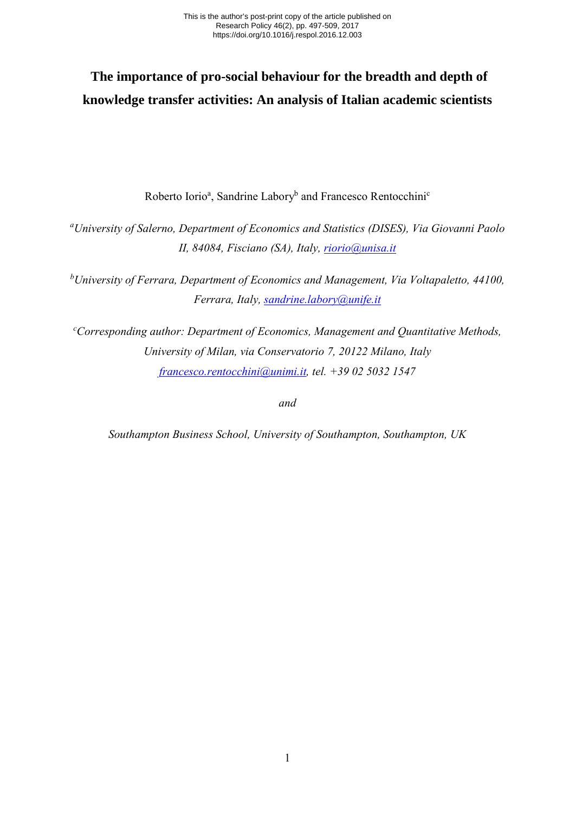# **The importance of pro-social behaviour for the breadth and depth of knowledge transfer activities: An analysis of Italian academic scientists**

Roberto Iorio<sup>a</sup>, Sandrine Labory<sup>b</sup> and Francesco Rentocchini<sup>c</sup>

*a University of Salerno, Department of Economics and Statistics (DISES), Via Giovanni Paolo II, 84084, Fisciano (SA), Italy, [riorio@unisa.it](mailto:riorio@unisa.it)*

*b University of Ferrara, Department of Economics and Management, Via Voltapaletto, 44100, Ferrara, Italy, [sandrine.labory@unife.it](mailto:sandrine.labory@unife.it)*

*c Corresponding author: Department of Economics, Management and Quantitative Methods, University of Milan, via Conservatorio 7, 20122 Milano, Italy [francesco.rentocchini@unimi.it,](mailto:f.rentocchini@soton.ac.uk) tel. +39 02 5032 1547* 

*and* 

*Southampton Business School, University of Southampton, Southampton, UK*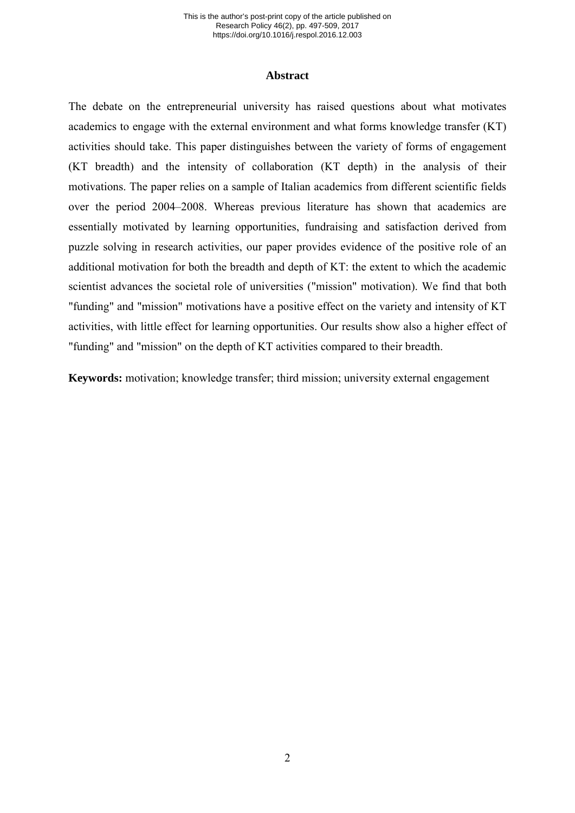### **Abstract**

The debate on the entrepreneurial university has raised questions about what motivates academics to engage with the external environment and what forms knowledge transfer (KT) activities should take. This paper distinguishes between the variety of forms of engagement (KT breadth) and the intensity of collaboration (KT depth) in the analysis of their motivations. The paper relies on a sample of Italian academics from different scientific fields over the period 2004–2008. Whereas previous literature has shown that academics are essentially motivated by learning opportunities, fundraising and satisfaction derived from puzzle solving in research activities, our paper provides evidence of the positive role of an additional motivation for both the breadth and depth of KT: the extent to which the academic scientist advances the societal role of universities ("mission" motivation). We find that both "funding" and "mission" motivations have a positive effect on the variety and intensity of KT activities, with little effect for learning opportunities. Our results show also a higher effect of "funding" and "mission" on the depth of KT activities compared to their breadth.

**Keywords:** motivation; knowledge transfer; third mission; university external engagement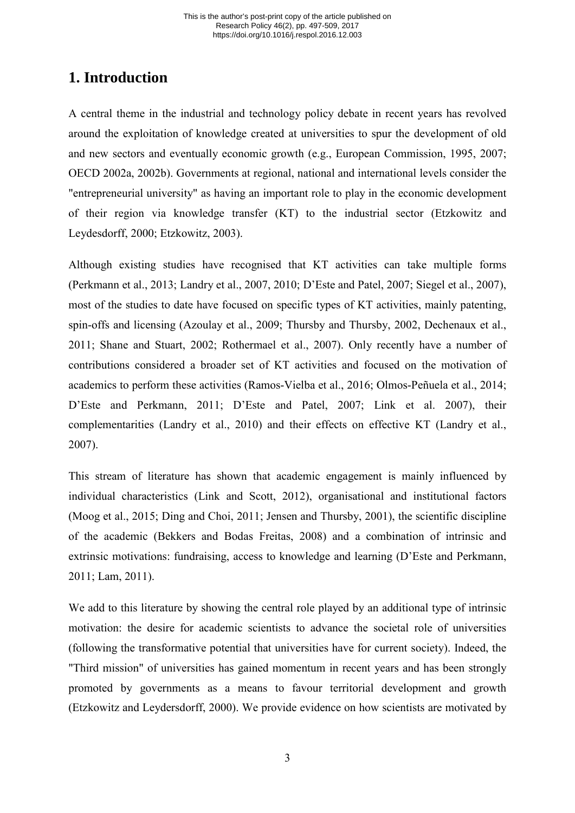# **1. Introduction**

A central theme in the industrial and technology policy debate in recent years has revolved around the exploitation of knowledge created at universities to spur the development of old and new sectors and eventually economic growth (e.g., European Commission, 1995, 2007; OECD 2002a, 2002b). Governments at regional, national and international levels consider the "entrepreneurial university" as having an important role to play in the economic development of their region via knowledge transfer (KT) to the industrial sector (Etzkowitz and Leydesdorff, 2000; Etzkowitz, 2003).

Although existing studies have recognised that KT activities can take multiple forms (Perkmann et al., 2013; Landry et al., 2007, 2010; D'Este and Patel, 2007; Siegel et al., 2007), most of the studies to date have focused on specific types of KT activities, mainly patenting, spin-offs and licensing (Azoulay et al., 2009; Thursby and Thursby, 2002, Dechenaux et al., 2011; Shane and Stuart, 2002; Rothermael et al., 2007). Only recently have a number of contributions considered a broader set of KT activities and focused on the motivation of academics to perform these activities (Ramos-Vielba et al., 2016; Olmos-Peñuela et al., 2014; D'Este and Perkmann, 2011; D'Este and Patel, 2007; Link et al. 2007), their complementarities (Landry et al., 2010) and their effects on effective KT (Landry et al., 2007).

This stream of literature has shown that academic engagement is mainly influenced by individual characteristics (Link and Scott, 2012), organisational and institutional factors (Moog et al., 2015; Ding and Choi, 2011; Jensen and Thursby, 2001), the scientific discipline of the academic (Bekkers and Bodas Freitas, 2008) and a combination of intrinsic and extrinsic motivations: fundraising, access to knowledge and learning (D'Este and Perkmann, 2011; Lam, 2011).

We add to this literature by showing the central role played by an additional type of intrinsic motivation: the desire for academic scientists to advance the societal role of universities (following the transformative potential that universities have for current society). Indeed, the "Third mission" of universities has gained momentum in recent years and has been strongly promoted by governments as a means to favour territorial development and growth (Etzkowitz and Leydersdorff, 2000). We provide evidence on how scientists are motivated by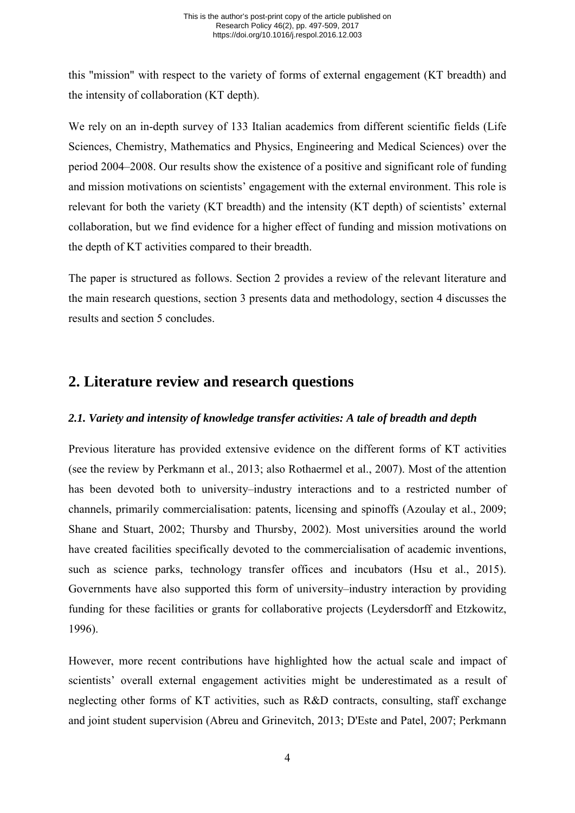this "mission" with respect to the variety of forms of external engagement (KT breadth) and the intensity of collaboration (KT depth).

We rely on an in-depth survey of 133 Italian academics from different scientific fields (Life Sciences, Chemistry, Mathematics and Physics, Engineering and Medical Sciences) over the period 2004–2008. Our results show the existence of a positive and significant role of funding and mission motivations on scientists' engagement with the external environment. This role is relevant for both the variety (KT breadth) and the intensity (KT depth) of scientists' external collaboration, but we find evidence for a higher effect of funding and mission motivations on the depth of KT activities compared to their breadth.

The paper is structured as follows. Section 2 provides a review of the relevant literature and the main research questions, section 3 presents data and methodology, section 4 discusses the results and section 5 concludes.

# **2. Literature review and research questions**

# *2.1. Variety and intensity of knowledge transfer activities: A tale of breadth and depth*

Previous literature has provided extensive evidence on the different forms of KT activities (see the review by Perkmann et al., 2013; also Rothaermel et al., 2007). Most of the attention has been devoted both to university–industry interactions and to a restricted number of channels, primarily commercialisation: patents, licensing and spinoffs (Azoulay et al., 2009; Shane and Stuart, 2002; Thursby and Thursby, 2002). Most universities around the world have created facilities specifically devoted to the commercialisation of academic inventions, such as science parks, technology transfer offices and incubators (Hsu et al., 2015). Governments have also supported this form of university–industry interaction by providing funding for these facilities or grants for collaborative projects (Leydersdorff and Etzkowitz, 1996).

However, more recent contributions have highlighted how the actual scale and impact of scientists' overall external engagement activities might be underestimated as a result of neglecting other forms of KT activities, such as R&D contracts, consulting, staff exchange and joint student supervision (Abreu and Grinevitch, 2013; D'Este and Patel, 2007; Perkmann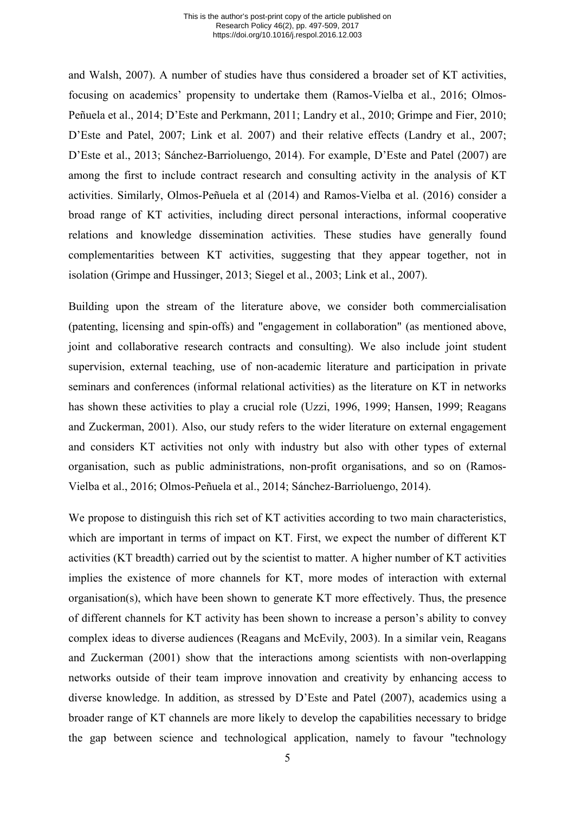and Walsh, 2007). A number of studies have thus considered a broader set of KT activities, focusing on academics' propensity to undertake them (Ramos-Vielba et al., 2016; Olmos-Peñuela et al., 2014; D'Este and Perkmann, 2011; Landry et al., 2010; Grimpe and Fier, 2010; D'Este and Patel, 2007; Link et al. 2007) and their relative effects (Landry et al., 2007; D'Este et al., 2013; Sánchez-Barrioluengo, 2014). For example, D'Este and Patel (2007) are among the first to include contract research and consulting activity in the analysis of KT activities. Similarly, Olmos-Peñuela et al (2014) and Ramos-Vielba et al. (2016) consider a broad range of KT activities, including direct personal interactions, informal cooperative relations and knowledge dissemination activities. These studies have generally found complementarities between KT activities, suggesting that they appear together, not in isolation (Grimpe and Hussinger, 2013; Siegel et al., 2003; Link et al., 2007).

Building upon the stream of the literature above, we consider both commercialisation (patenting, licensing and spin-offs) and "engagement in collaboration" (as mentioned above, joint and collaborative research contracts and consulting). We also include joint student supervision, external teaching, use of non-academic literature and participation in private seminars and conferences (informal relational activities) as the literature on KT in networks has shown these activities to play a crucial role (Uzzi, 1996, 1999; Hansen, 1999; Reagans and Zuckerman, 2001). Also, our study refers to the wider literature on external engagement and considers KT activities not only with industry but also with other types of external organisation, such as public administrations, non-profit organisations, and so on (Ramos-Vielba et al., 2016; Olmos-Peñuela et al., 2014; Sánchez-Barrioluengo, 2014).

We propose to distinguish this rich set of KT activities according to two main characteristics, which are important in terms of impact on KT. First, we expect the number of different KT activities (KT breadth) carried out by the scientist to matter. A higher number of KT activities implies the existence of more channels for KT, more modes of interaction with external organisation(s), which have been shown to generate KT more effectively. Thus, the presence of different channels for KT activity has been shown to increase a person's ability to convey complex ideas to diverse audiences (Reagans and McEvily, 2003). In a similar vein, Reagans and Zuckerman (2001) show that the interactions among scientists with non-overlapping networks outside of their team improve innovation and creativity by enhancing access to diverse knowledge. In addition, as stressed by D'Este and Patel (2007), academics using a broader range of KT channels are more likely to develop the capabilities necessary to bridge the gap between science and technological application, namely to favour "technology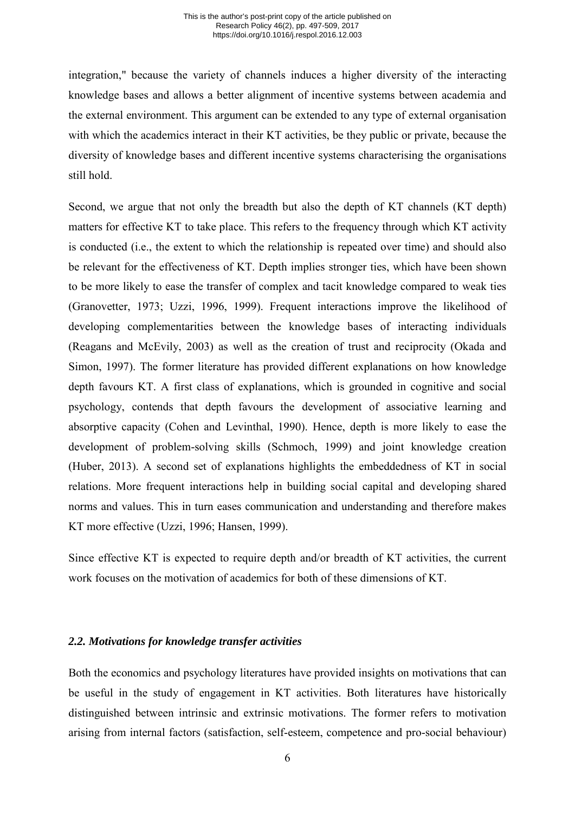integration," because the variety of channels induces a higher diversity of the interacting knowledge bases and allows a better alignment of incentive systems between academia and the external environment. This argument can be extended to any type of external organisation with which the academics interact in their KT activities, be they public or private, because the diversity of knowledge bases and different incentive systems characterising the organisations still hold.

Second, we argue that not only the breadth but also the depth of KT channels (KT depth) matters for effective KT to take place. This refers to the frequency through which KT activity is conducted (i.e., the extent to which the relationship is repeated over time) and should also be relevant for the effectiveness of KT. Depth implies stronger ties, which have been shown to be more likely to ease the transfer of complex and tacit knowledge compared to weak ties (Granovetter, 1973; Uzzi, 1996, 1999). Frequent interactions improve the likelihood of developing complementarities between the knowledge bases of interacting individuals (Reagans and McEvily, 2003) as well as the creation of trust and reciprocity (Okada and Simon, 1997). The former literature has provided different explanations on how knowledge depth favours KT. A first class of explanations, which is grounded in cognitive and social psychology, contends that depth favours the development of associative learning and absorptive capacity (Cohen and Levinthal, 1990). Hence, depth is more likely to ease the development of problem-solving skills (Schmoch, 1999) and joint knowledge creation (Huber, 2013). A second set of explanations highlights the embeddedness of KT in social relations. More frequent interactions help in building social capital and developing shared norms and values. This in turn eases communication and understanding and therefore makes KT more effective (Uzzi, 1996; Hansen, 1999).

Since effective KT is expected to require depth and/or breadth of KT activities, the current work focuses on the motivation of academics for both of these dimensions of KT.

## *2.2. Motivations for knowledge transfer activities*

Both the economics and psychology literatures have provided insights on motivations that can be useful in the study of engagement in KT activities. Both literatures have historically distinguished between intrinsic and extrinsic motivations. The former refers to motivation arising from internal factors (satisfaction, self-esteem, competence and pro-social behaviour)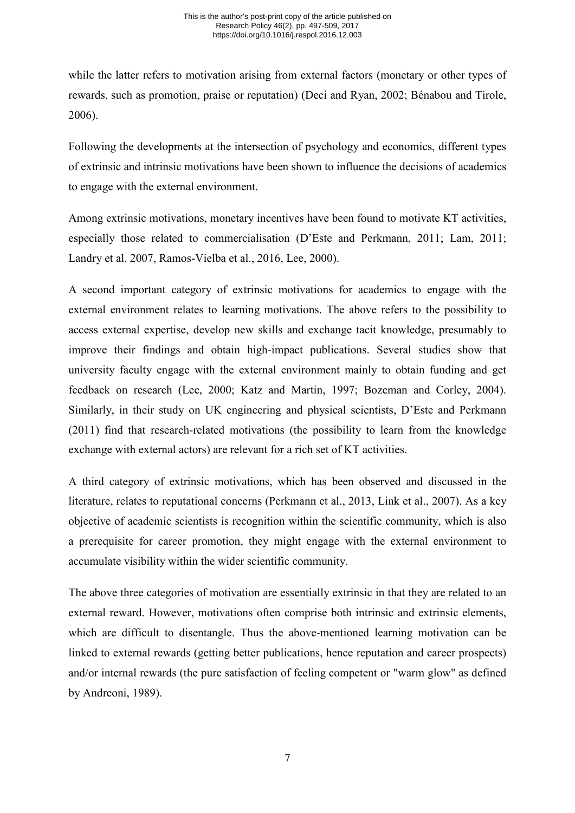while the latter refers to motivation arising from external factors (monetary or other types of rewards, such as promotion, praise or reputation) (Deci and Ryan, 2002; Bénabou and Tirole, 2006).

Following the developments at the intersection of psychology and economics, different types of extrinsic and intrinsic motivations have been shown to influence the decisions of academics to engage with the external environment.

Among extrinsic motivations, monetary incentives have been found to motivate KT activities, especially those related to commercialisation (D'Este and Perkmann, 2011; Lam, 2011; Landry et al. 2007, Ramos-Vielba et al., 2016, Lee, 2000).

A second important category of extrinsic motivations for academics to engage with the external environment relates to learning motivations. The above refers to the possibility to access external expertise, develop new skills and exchange tacit knowledge, presumably to improve their findings and obtain high-impact publications. Several studies show that university faculty engage with the external environment mainly to obtain funding and get feedback on research (Lee, 2000; Katz and Martin, 1997; Bozeman and Corley, 2004). Similarly, in their study on UK engineering and physical scientists, D'Este and Perkmann (2011) find that research-related motivations (the possibility to learn from the knowledge exchange with external actors) are relevant for a rich set of KT activities.

A third category of extrinsic motivations, which has been observed and discussed in the literature, relates to reputational concerns (Perkmann et al., 2013, Link et al., 2007). As a key objective of academic scientists is recognition within the scientific community, which is also a prerequisite for career promotion, they might engage with the external environment to accumulate visibility within the wider scientific community.

The above three categories of motivation are essentially extrinsic in that they are related to an external reward. However, motivations often comprise both intrinsic and extrinsic elements, which are difficult to disentangle. Thus the above-mentioned learning motivation can be linked to external rewards (getting better publications, hence reputation and career prospects) and/or internal rewards (the pure satisfaction of feeling competent or "warm glow" as defined by Andreoni, 1989).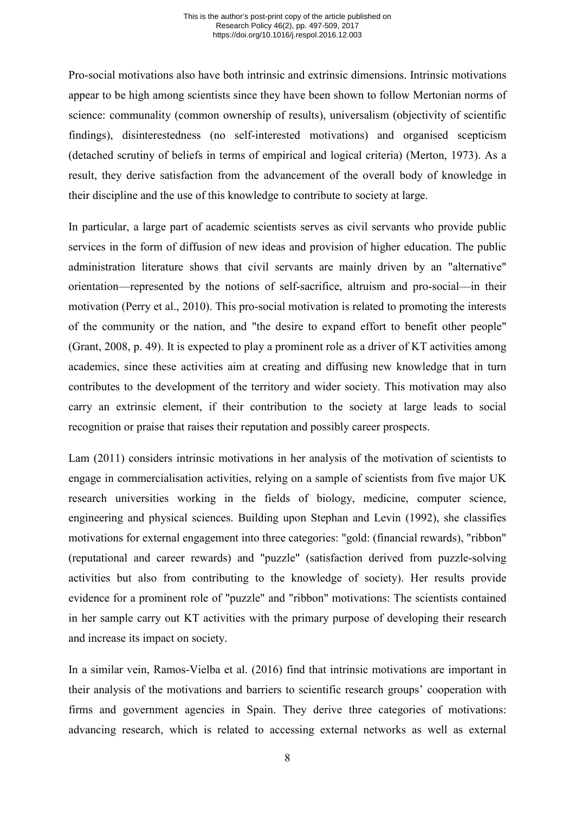Pro-social motivations also have both intrinsic and extrinsic dimensions. Intrinsic motivations appear to be high among scientists since they have been shown to follow Mertonian norms of science: communality (common ownership of results), universalism (objectivity of scientific findings), disinterestedness (no self-interested motivations) and organised scepticism (detached scrutiny of beliefs in terms of empirical and logical criteria) (Merton, 1973). As a result, they derive satisfaction from the advancement of the overall body of knowledge in their discipline and the use of this knowledge to contribute to society at large.

In particular, a large part of academic scientists serves as civil servants who provide public services in the form of diffusion of new ideas and provision of higher education. The public administration literature shows that civil servants are mainly driven by an "alternative" orientation––represented by the notions of self-sacrifice, altruism and pro-social––in their motivation (Perry et al., 2010). This pro-social motivation is related to promoting the interests of the community or the nation, and "the desire to expand effort to benefit other people" (Grant, 2008, p. 49). It is expected to play a prominent role as a driver of KT activities among academics, since these activities aim at creating and diffusing new knowledge that in turn contributes to the development of the territory and wider society. This motivation may also carry an extrinsic element, if their contribution to the society at large leads to social recognition or praise that raises their reputation and possibly career prospects.

Lam (2011) considers intrinsic motivations in her analysis of the motivation of scientists to engage in commercialisation activities, relying on a sample of scientists from five major UK research universities working in the fields of biology, medicine, computer science, engineering and physical sciences. Building upon Stephan and Levin (1992), she classifies motivations for external engagement into three categories: "gold: (financial rewards), "ribbon" (reputational and career rewards) and "puzzle" (satisfaction derived from puzzle-solving activities but also from contributing to the knowledge of society). Her results provide evidence for a prominent role of "puzzle" and "ribbon" motivations: The scientists contained in her sample carry out KT activities with the primary purpose of developing their research and increase its impact on society.

In a similar vein, Ramos-Vielba et al. (2016) find that intrinsic motivations are important in their analysis of the motivations and barriers to scientific research groups' cooperation with firms and government agencies in Spain. They derive three categories of motivations: advancing research, which is related to accessing external networks as well as external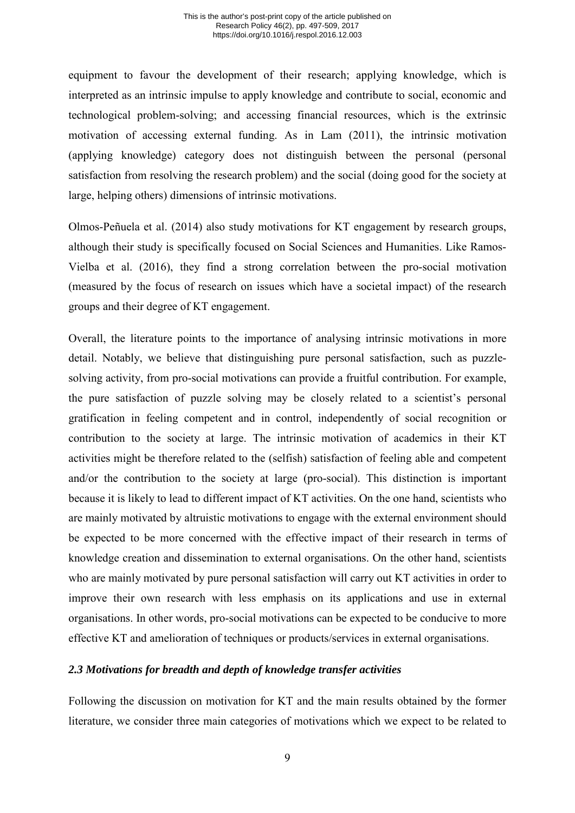equipment to favour the development of their research; applying knowledge, which is interpreted as an intrinsic impulse to apply knowledge and contribute to social, economic and technological problem-solving; and accessing financial resources, which is the extrinsic motivation of accessing external funding. As in Lam (2011), the intrinsic motivation (applying knowledge) category does not distinguish between the personal (personal satisfaction from resolving the research problem) and the social (doing good for the society at large, helping others) dimensions of intrinsic motivations.

Olmos-Peñuela et al. (2014) also study motivations for KT engagement by research groups, although their study is specifically focused on Social Sciences and Humanities. Like Ramos-Vielba et al. (2016), they find a strong correlation between the pro-social motivation (measured by the focus of research on issues which have a societal impact) of the research groups and their degree of KT engagement.

Overall, the literature points to the importance of analysing intrinsic motivations in more detail. Notably, we believe that distinguishing pure personal satisfaction, such as puzzlesolving activity, from pro-social motivations can provide a fruitful contribution. For example, the pure satisfaction of puzzle solving may be closely related to a scientist's personal gratification in feeling competent and in control, independently of social recognition or contribution to the society at large. The intrinsic motivation of academics in their KT activities might be therefore related to the (selfish) satisfaction of feeling able and competent and/or the contribution to the society at large (pro-social). This distinction is important because it is likely to lead to different impact of KT activities. On the one hand, scientists who are mainly motivated by altruistic motivations to engage with the external environment should be expected to be more concerned with the effective impact of their research in terms of knowledge creation and dissemination to external organisations. On the other hand, scientists who are mainly motivated by pure personal satisfaction will carry out KT activities in order to improve their own research with less emphasis on its applications and use in external organisations. In other words, pro-social motivations can be expected to be conducive to more effective KT and amelioration of techniques or products/services in external organisations.

### *2.3 Motivations for breadth and depth of knowledge transfer activities*

Following the discussion on motivation for KT and the main results obtained by the former literature, we consider three main categories of motivations which we expect to be related to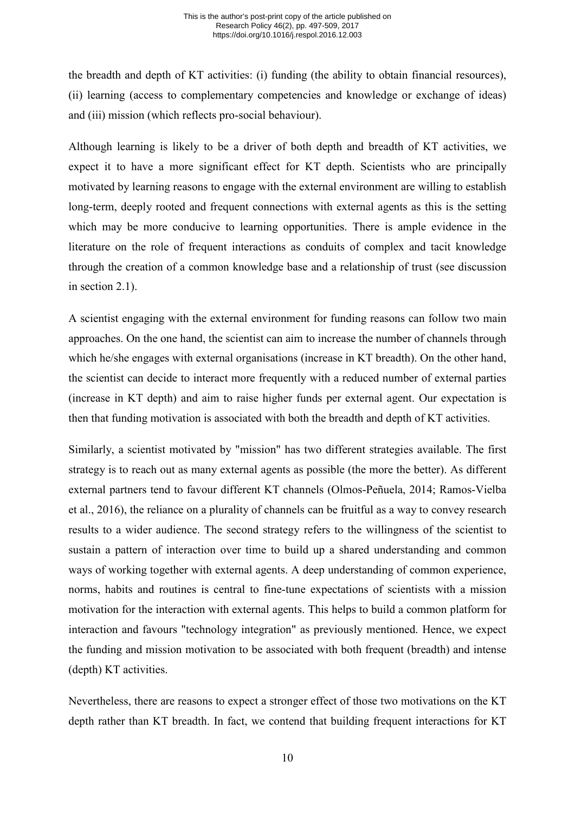the breadth and depth of KT activities: (i) funding (the ability to obtain financial resources), (ii) learning (access to complementary competencies and knowledge or exchange of ideas) and (iii) mission (which reflects pro-social behaviour).

Although learning is likely to be a driver of both depth and breadth of KT activities, we expect it to have a more significant effect for KT depth. Scientists who are principally motivated by learning reasons to engage with the external environment are willing to establish long-term, deeply rooted and frequent connections with external agents as this is the setting which may be more conducive to learning opportunities. There is ample evidence in the literature on the role of frequent interactions as conduits of complex and tacit knowledge through the creation of a common knowledge base and a relationship of trust (see discussion in section 2.1).

A scientist engaging with the external environment for funding reasons can follow two main approaches. On the one hand, the scientist can aim to increase the number of channels through which he/she engages with external organisations (increase in KT breadth). On the other hand, the scientist can decide to interact more frequently with a reduced number of external parties (increase in KT depth) and aim to raise higher funds per external agent. Our expectation is then that funding motivation is associated with both the breadth and depth of KT activities.

Similarly, a scientist motivated by "mission" has two different strategies available. The first strategy is to reach out as many external agents as possible (the more the better). As different external partners tend to favour different KT channels (Olmos-Peñuela, 2014; Ramos-Vielba et al., 2016), the reliance on a plurality of channels can be fruitful as a way to convey research results to a wider audience. The second strategy refers to the willingness of the scientist to sustain a pattern of interaction over time to build up a shared understanding and common ways of working together with external agents. A deep understanding of common experience, norms, habits and routines is central to fine-tune expectations of scientists with a mission motivation for the interaction with external agents. This helps to build a common platform for interaction and favours "technology integration" as previously mentioned. Hence, we expect the funding and mission motivation to be associated with both frequent (breadth) and intense (depth) KT activities.

Nevertheless, there are reasons to expect a stronger effect of those two motivations on the KT depth rather than KT breadth. In fact, we contend that building frequent interactions for KT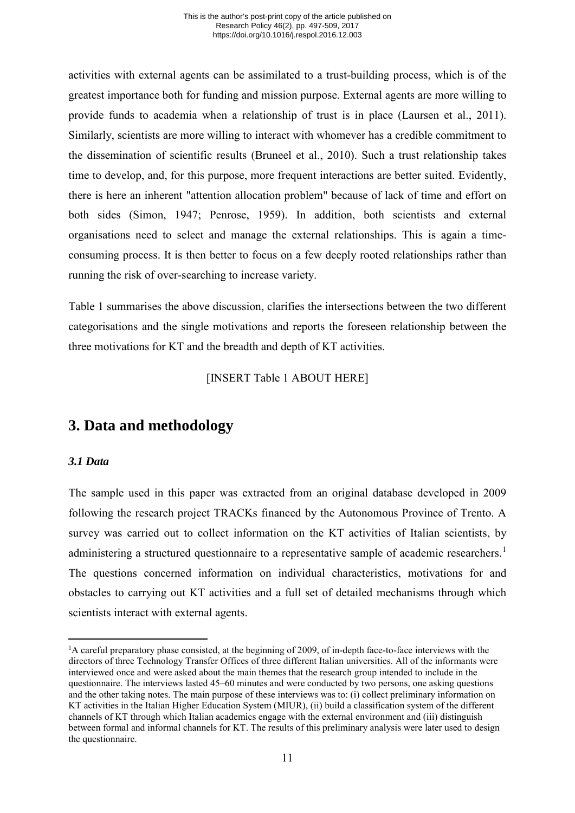activities with external agents can be assimilated to a trust-building process, which is of the greatest importance both for funding and mission purpose. External agents are more willing to provide funds to academia when a relationship of trust is in place (Laursen et al., 2011). Similarly, scientists are more willing to interact with whomever has a credible commitment to the dissemination of scientific results (Bruneel et al., 2010). Such a trust relationship takes time to develop, and, for this purpose, more frequent interactions are better suited. Evidently, there is here an inherent "attention allocation problem" because of lack of time and effort on both sides (Simon, 1947; Penrose, 1959). In addition, both scientists and external organisations need to select and manage the external relationships. This is again a timeconsuming process. It is then better to focus on a few deeply rooted relationships rather than running the risk of over-searching to increase variety.

[Table 1](#page-32-0) summarises the above discussion, clarifies the intersections between the two different categorisations and the single motivations and reports the foreseen relationship between the three motivations for KT and the breadth and depth of KT activities.

[INSERT [Table 1](#page-32-0) ABOUT HERE]

# **3. Data and methodology**

# *3.1 Data*

-

The sample used in this paper was extracted from an original database developed in 2009 following the research project TRACKs financed by the Autonomous Province of Trento. A survey was carried out to collect information on the KT activities of Italian scientists, by administering a structured questionnaire to a representative sample of academic researchers.<sup>[1](#page-11-0)</sup> The questions concerned information on individual characteristics, motivations for and obstacles to carrying out KT activities and a full set of detailed mechanisms through which scientists interact with external agents.

<span id="page-11-0"></span><sup>&</sup>lt;sup>1</sup>A careful preparatory phase consisted, at the beginning of 2009, of in-depth face-to-face interviews with the directors of three Technology Transfer Offices of three different Italian universities. All of the informants were interviewed once and were asked about the main themes that the research group intended to include in the questionnaire. The interviews lasted 45–60 minutes and were conducted by two persons, one asking questions and the other taking notes. The main purpose of these interviews was to: (i) collect preliminary information on KT activities in the Italian Higher Education System (MIUR), (ii) build a classification system of the different channels of KT through which Italian academics engage with the external environment and (iii) distinguish between formal and informal channels for KT. The results of this preliminary analysis were later used to design the questionnaire.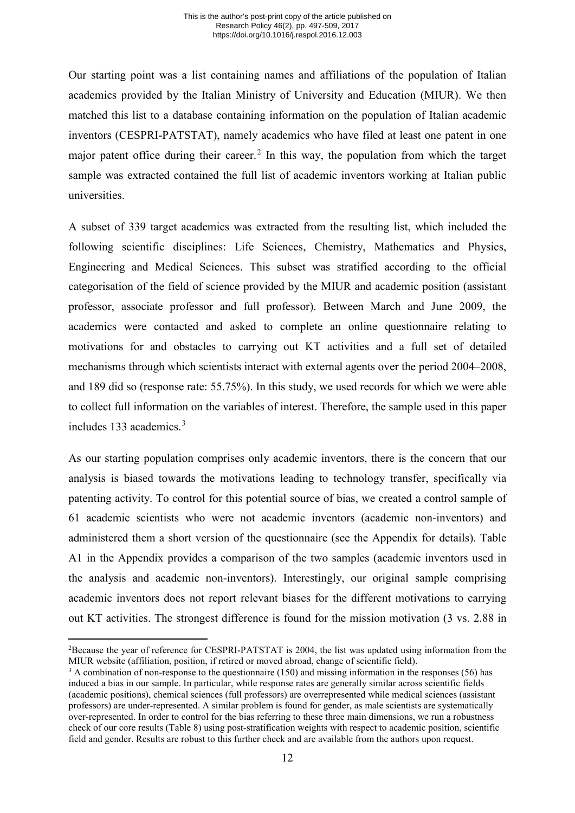Our starting point was a list containing names and affiliations of the population of Italian academics provided by the Italian Ministry of University and Education (MIUR). We then matched this list to a database containing information on the population of Italian academic inventors (CESPRI-PATSTAT), namely academics who have filed at least one patent in one major patent office during their career.<sup>[2](#page-12-0)</sup> In this way, the population from which the target sample was extracted contained the full list of academic inventors working at Italian public universities.

A subset of 339 target academics was extracted from the resulting list, which included the following scientific disciplines: Life Sciences, Chemistry, Mathematics and Physics, Engineering and Medical Sciences. This subset was stratified according to the official categorisation of the field of science provided by the MIUR and academic position (assistant professor, associate professor and full professor). Between March and June 2009, the academics were contacted and asked to complete an online questionnaire relating to motivations for and obstacles to carrying out KT activities and a full set of detailed mechanisms through which scientists interact with external agents over the period 2004–2008, and 189 did so (response rate: 55.75%). In this study, we used records for which we were able to collect full information on the variables of interest. Therefore, the sample used in this paper includes 1[3](#page-12-1)3 academics  $3\overline{3}$ 

As our starting population comprises only academic inventors, there is the concern that our analysis is biased towards the motivations leading to technology transfer, specifically via patenting activity. To control for this potential source of bias, we created a control sample of 61 academic scientists who were not academic inventors (academic non-inventors) and administered them a short version of the questionnaire (see the Appendix for details). Table A1 in the Appendix provides a comparison of the two samples (academic inventors used in the analysis and academic non-inventors). Interestingly, our original sample comprising academic inventors does not report relevant biases for the different motivations to carrying out KT activities. The strongest difference is found for the mission motivation (3 vs. 2.88 in

<span id="page-12-0"></span><sup>-</sup><sup>2</sup>Because the year of reference for CESPRI-PATSTAT is 2004, the list was updated using information from the MIUR website (affiliation, position, if retired or moved abroad, change of scientific field).

<span id="page-12-1"></span><sup>&</sup>lt;sup>3</sup> A combination of non-response to the questionnaire (150) and missing information in the responses (56) has induced a bias in our sample. In particular, while response rates are generally similar across scientific fields (academic positions), chemical sciences (full professors) are overrepresented while medical sciences (assistant professors) are under-represented. A similar problem is found for gender, as male scientists are systematically over-represented. In order to control for the bias referring to these three main dimensions, we run a robustness check of our core results [\(Table 8\)](#page-39-0) using post-stratification weights with respect to academic position, scientific field and gender. Results are robust to this further check and are available from the authors upon request.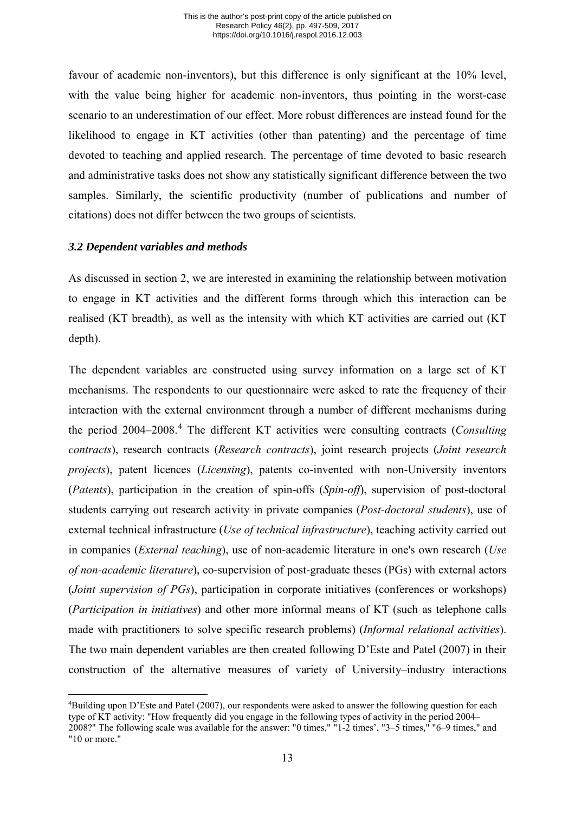favour of academic non-inventors), but this difference is only significant at the 10% level, with the value being higher for academic non-inventors, thus pointing in the worst-case scenario to an underestimation of our effect. More robust differences are instead found for the likelihood to engage in KT activities (other than patenting) and the percentage of time devoted to teaching and applied research. The percentage of time devoted to basic research and administrative tasks does not show any statistically significant difference between the two samples. Similarly, the scientific productivity (number of publications and number of citations) does not differ between the two groups of scientists.

# *3.2 Dependent variables and methods*

<u>.</u>

As discussed in section 2, we are interested in examining the relationship between motivation to engage in KT activities and the different forms through which this interaction can be realised (KT breadth), as well as the intensity with which KT activities are carried out (KT depth).

The dependent variables are constructed using survey information on a large set of KT mechanisms. The respondents to our questionnaire were asked to rate the frequency of their interaction with the external environment through a number of different mechanisms during the period 2004–2008.[4](#page-13-0) The different KT activities were consulting contracts (*Consulting contracts*), research contracts (*Research contracts*), joint research projects (*Joint research projects*), patent licences (*Licensing*), patents co-invented with non-University inventors (*Patents*), participation in the creation of spin-offs (*Spin-off*), supervision of post-doctoral students carrying out research activity in private companies (*Post-doctoral students*), use of external technical infrastructure (*Use of technical infrastructure*), teaching activity carried out in companies (*External teaching*), use of non-academic literature in one's own research (*Use of non-academic literature*), co-supervision of post-graduate theses (PGs) with external actors (*Joint supervision of PGs*), participation in corporate initiatives (conferences or workshops) (*Participation in initiatives*) and other more informal means of KT (such as telephone calls made with practitioners to solve specific research problems) (*Informal relational activities*). The two main dependent variables are then created following D'Este and Patel (2007) in their construction of the alternative measures of variety of University–industry interactions

<span id="page-13-0"></span><sup>4</sup> Building upon D'Este and Patel (2007), our respondents were asked to answer the following question for each type of KT activity: "How frequently did you engage in the following types of activity in the period 2004– 2008?" The following scale was available for the answer: "0 times," "1-2 times', "3–5 times," "6–9 times," and "10 or more."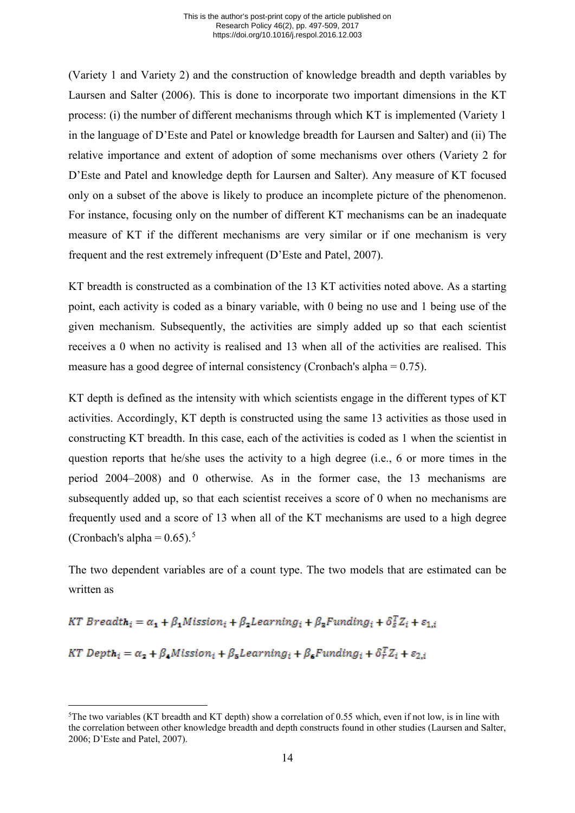(Variety 1 and Variety 2) and the construction of knowledge breadth and depth variables by Laursen and Salter (2006). This is done to incorporate two important dimensions in the KT process: (i) the number of different mechanisms through which KT is implemented (Variety 1 in the language of D'Este and Patel or knowledge breadth for Laursen and Salter) and (ii) The relative importance and extent of adoption of some mechanisms over others (Variety 2 for D'Este and Patel and knowledge depth for Laursen and Salter). Any measure of KT focused only on a subset of the above is likely to produce an incomplete picture of the phenomenon. For instance, focusing only on the number of different KT mechanisms can be an inadequate measure of KT if the different mechanisms are very similar or if one mechanism is very frequent and the rest extremely infrequent (D'Este and Patel, 2007).

KT breadth is constructed as a combination of the 13 KT activities noted above. As a starting point, each activity is coded as a binary variable, with 0 being no use and 1 being use of the given mechanism. Subsequently, the activities are simply added up so that each scientist receives a 0 when no activity is realised and 13 when all of the activities are realised. This measure has a good degree of internal consistency (Cronbach's alpha = 0.75).

KT depth is defined as the intensity with which scientists engage in the different types of KT activities. Accordingly, KT depth is constructed using the same 13 activities as those used in constructing KT breadth. In this case, each of the activities is coded as 1 when the scientist in question reports that he/she uses the activity to a high degree (i.e., 6 or more times in the period 2004–2008) and 0 otherwise. As in the former case, the 13 mechanisms are subsequently added up, so that each scientist receives a score of 0 when no mechanisms are frequently used and a score of 13 when all of the KT mechanisms are used to a high degree (Cronbach's alpha =  $0.65$  $0.65$ ).<sup>5</sup>

The two dependent variables are of a count type. The two models that are estimated can be written as

KT Breadth<sub>i</sub> =  $\alpha_1 + \beta_1$ Mission<sub>i</sub> +  $\beta_2$ Learning<sub>i</sub> +  $\beta_3$ Funding<sub>i</sub> +  $\delta_5^T Z_i$  +  $\varepsilon_{1,i}$ 

KT Depth<sub>i</sub> =  $\alpha_2 + \beta_4$ Mission<sub>i</sub> +  $\beta_5$ Learning<sub>i</sub> +  $\beta_6$ Funding<sub>i</sub> +  $\delta_r^T Z_i$  +  $\varepsilon_{2,i}$ 

<span id="page-14-0"></span><sup>-</sup>5 The two variables (KT breadth and KT depth) show a correlation of 0.55 which, even if not low, is in line with the correlation between other knowledge breadth and depth constructs found in other studies (Laursen and Salter, 2006; D'Este and Patel, 2007).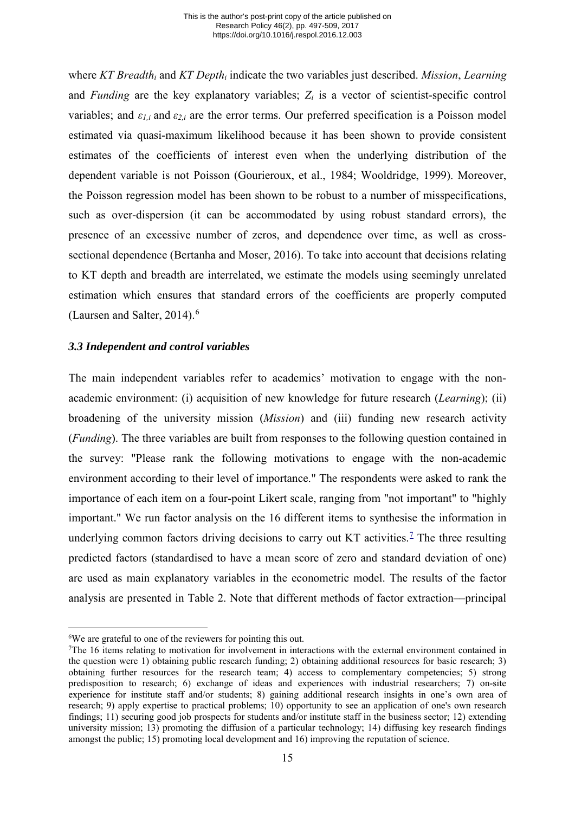where *KT Breadth<sub>i</sub>* and *KT Depth<sub>i</sub>* indicate the two variables just described. *Mission*, *Learning* and *Funding* are the key explanatory variables; *Zi* is a vector of scientist-specific control variables; and *ε1,i* and *ε2,i* are the error terms. Our preferred specification is a Poisson model estimated via quasi-maximum likelihood because it has been shown to provide consistent estimates of the coefficients of interest even when the underlying distribution of the dependent variable is not Poisson (Gourieroux, et al., 1984; Wooldridge, 1999). Moreover, the Poisson regression model has been shown to be robust to a number of misspecifications, such as over-dispersion (it can be accommodated by using robust standard errors), the presence of an excessive number of zeros, and dependence over time, as well as crosssectional dependence (Bertanha and Moser, 2016). To take into account that decisions relating to KT depth and breadth are interrelated, we estimate the models using seemingly unrelated estimation which ensures that standard errors of the coefficients are properly computed (Laursen and Salter,  $2014$ ).<sup>[6](#page-15-0)</sup>

### *3.3 Independent and control variables*

The main independent variables refer to academics' motivation to engage with the nonacademic environment: (i) acquisition of new knowledge for future research (*Learning*); (ii) broadening of the university mission (*Mission*) and (iii) funding new research activity (*Funding*). The three variables are built from responses to the following question contained in the survey: "Please rank the following motivations to engage with the non-academic environment according to their level of importance." The respondents were asked to rank the importance of each item on a four-point Likert scale, ranging from "not important" to "highly important." We run factor analysis on the 16 different items to synthesise the information in underlying common factors driving decisions to carry out KT activities.<sup>[7](#page-15-1)</sup> The three resulting predicted factors (standardised to have a mean score of zero and standard deviation of one) are used as main explanatory variables in the econometric model. The results of the factor analysis are presented in [Table 2.](#page-33-0) Note that different methods of factor extraction––principal

<sup>&</sup>lt;u>.</u> 6 We are grateful to one of the reviewers for pointing this out.

<span id="page-15-1"></span><span id="page-15-0"></span><sup>&</sup>lt;sup>7</sup>The 16 items relating to motivation for involvement in interactions with the external environment contained in the question were 1) obtaining public research funding; 2) obtaining additional resources for basic research; 3) obtaining further resources for the research team; 4) access to complementary competencies; 5) strong predisposition to research; 6) exchange of ideas and experiences with industrial researchers; 7) on-site experience for institute staff and/or students; 8) gaining additional research insights in one's own area of research; 9) apply expertise to practical problems; 10) opportunity to see an application of one's own research findings; 11) securing good job prospects for students and/or institute staff in the business sector; 12) extending university mission; 13) promoting the diffusion of a particular technology; 14) diffusing key research findings amongst the public; 15) promoting local development and 16) improving the reputation of science.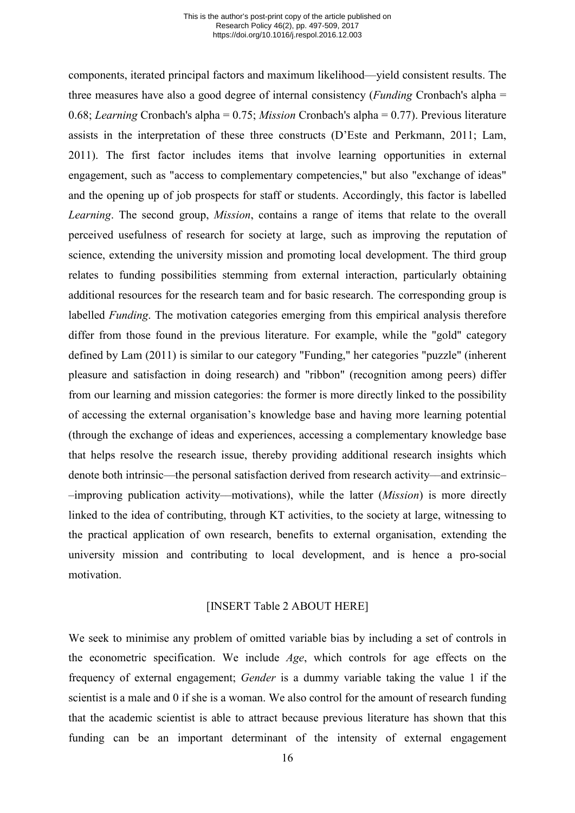components, iterated principal factors and maximum likelihood––yield consistent results. The three measures have also a good degree of internal consistency (*Funding* Cronbach's alpha = 0.68; *Learning* Cronbach's alpha = 0.75; *Mission* Cronbach's alpha = 0.77). Previous literature assists in the interpretation of these three constructs (D'Este and Perkmann, 2011; Lam, 2011). The first factor includes items that involve learning opportunities in external engagement, such as "access to complementary competencies," but also "exchange of ideas" and the opening up of job prospects for staff or students. Accordingly, this factor is labelled *Learning*. The second group, *Mission*, contains a range of items that relate to the overall perceived usefulness of research for society at large, such as improving the reputation of science, extending the university mission and promoting local development. The third group relates to funding possibilities stemming from external interaction, particularly obtaining additional resources for the research team and for basic research. The corresponding group is labelled *Funding*. The motivation categories emerging from this empirical analysis therefore differ from those found in the previous literature. For example, while the "gold" category defined by Lam (2011) is similar to our category "Funding," her categories "puzzle" (inherent pleasure and satisfaction in doing research) and "ribbon" (recognition among peers) differ from our learning and mission categories: the former is more directly linked to the possibility of accessing the external organisation's knowledge base and having more learning potential (through the exchange of ideas and experiences, accessing a complementary knowledge base that helps resolve the research issue, thereby providing additional research insights which denote both intrinsic––the personal satisfaction derived from research activity––and extrinsic– –improving publication activity––motivations), while the latter (*Mission*) is more directly linked to the idea of contributing, through KT activities, to the society at large, witnessing to the practical application of own research, benefits to external organisation, extending the university mission and contributing to local development, and is hence a pro-social motivation.

#### [INSERT [Table 2](#page-33-0) ABOUT HERE]

We seek to minimise any problem of omitted variable bias by including a set of controls in the econometric specification. We include *Age*, which controls for age effects on the frequency of external engagement; *Gender* is a dummy variable taking the value 1 if the scientist is a male and 0 if she is a woman. We also control for the amount of research funding that the academic scientist is able to attract because previous literature has shown that this funding can be an important determinant of the intensity of external engagement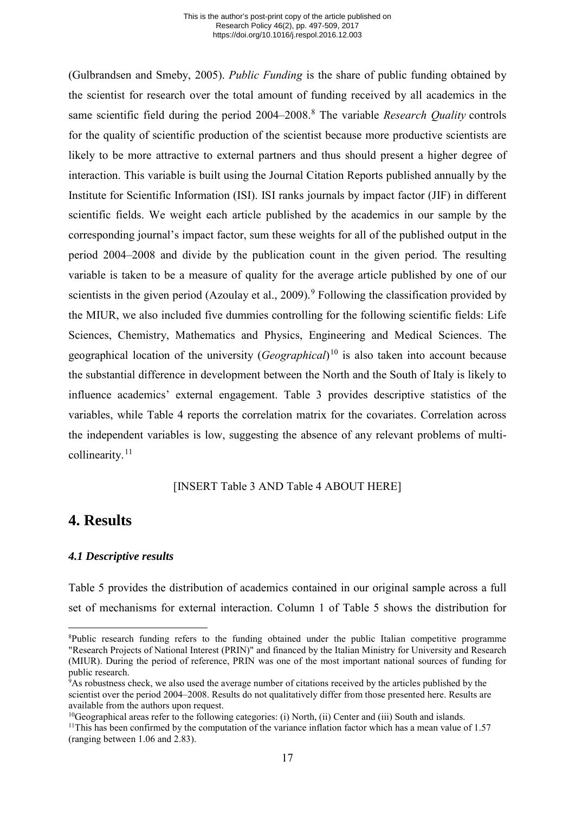(Gulbrandsen and Smeby, 2005). *Public Funding* is the share of public funding obtained by the scientist for research over the total amount of funding received by all academics in the same scientific field during the period 2004–200[8](#page-17-0).<sup>8</sup> The variable *Research Quality* controls for the quality of scientific production of the scientist because more productive scientists are likely to be more attractive to external partners and thus should present a higher degree of interaction. This variable is built using the Journal Citation Reports published annually by the Institute for Scientific Information (ISI). ISI ranks journals by impact factor (JIF) in different scientific fields. We weight each article published by the academics in our sample by the corresponding journal's impact factor, sum these weights for all of the published output in the period 2004–2008 and divide by the publication count in the given period. The resulting variable is taken to be a measure of quality for the average article published by one of our scientists in the given period (Azoulay et al., 200[9](#page-17-1)).<sup>9</sup> Following the classification provided by the MIUR, we also included five dummies controlling for the following scientific fields: Life Sciences, Chemistry, Mathematics and Physics, Engineering and Medical Sciences. The geographical location of the university (*Geographical*) [10](#page-17-2) is also taken into account because the substantial difference in development between the North and the South of Italy is likely to influence academics' external engagement. [Table 3](#page-34-0) provides descriptive statistics of the variables, while [Table 4](#page-35-0) reports the correlation matrix for the covariates. Correlation across the independent variables is low, suggesting the absence of any relevant problems of multi-collinearity.<sup>[11](#page-17-3)</sup>

# [INSERT [Table 3](#page-34-0) AND [Table 4](#page-35-0) ABOUT HERE]

# **4. Results**

<u>.</u>

# *4.1 Descriptive results*

[Table 5](#page-36-0) provides the distribution of academics contained in our original sample across a full set of mechanisms for external interaction. Column 1 of [Table 5](#page-36-0) shows the distribution for

<span id="page-17-0"></span><sup>8</sup> Public research funding refers to the funding obtained under the public Italian competitive programme "Research Projects of National Interest (PRIN)" and financed by the Italian Ministry for University and Research (MIUR). During the period of reference, PRIN was one of the most important national sources of funding for public research.

<span id="page-17-1"></span><sup>9</sup> As robustness check, we also used the average number of citations received by the articles published by the scientist over the period 2004–2008. Results do not qualitatively differ from those presented here. Results are available from the authors upon request.

<span id="page-17-2"></span><sup>10</sup>Geographical areas refer to the following categories: (i) North, (ii) Center and (iii) South and islands.

<span id="page-17-3"></span><sup>&</sup>lt;sup>11</sup>This has been confirmed by the computation of the variance inflation factor which has a mean value of  $1.57$ (ranging between 1.06 and 2.83).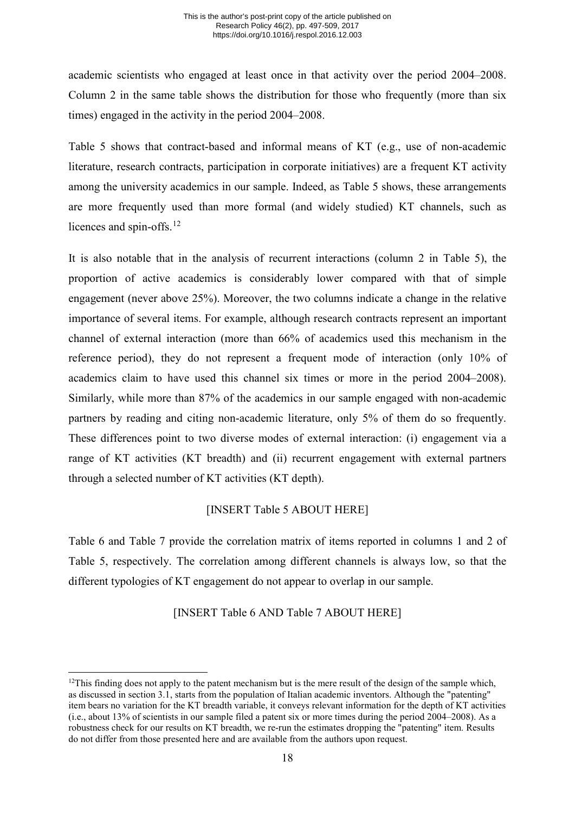academic scientists who engaged at least once in that activity over the period 2004–2008. Column 2 in the same table shows the distribution for those who frequently (more than six times) engaged in the activity in the period 2004–2008.

[Table 5](#page-36-0) shows that contract-based and informal means of KT (e.g., use of non-academic literature, research contracts, participation in corporate initiatives) are a frequent KT activity among the university academics in our sample. Indeed, as [Table 5](#page-36-0) shows, these arrangements are more frequently used than more formal (and widely studied) KT channels, such as licences and spin-offs.<sup>[12](#page-18-0)</sup>

It is also notable that in the analysis of recurrent interactions (column 2 in [Table 5\)](#page-36-0), the proportion of active academics is considerably lower compared with that of simple engagement (never above 25%). Moreover, the two columns indicate a change in the relative importance of several items. For example, although research contracts represent an important channel of external interaction (more than 66% of academics used this mechanism in the reference period), they do not represent a frequent mode of interaction (only 10% of academics claim to have used this channel six times or more in the period 2004–2008). Similarly, while more than 87% of the academics in our sample engaged with non-academic partners by reading and citing non-academic literature, only 5% of them do so frequently. These differences point to two diverse modes of external interaction: (i) engagement via a range of KT activities (KT breadth) and (ii) recurrent engagement with external partners through a selected number of KT activities (KT depth).

# [INSERT [Table 5](#page-36-0) ABOUT HERE]

[Table 6](#page-37-0) and [Table 7](#page-38-0) provide the correlation matrix of items reported in columns 1 and 2 of [Table 5,](#page-36-0) respectively. The correlation among different channels is always low, so that the different typologies of KT engagement do not appear to overlap in our sample.

# [INSERT [Table 6](#page-37-0) AND [Table 7](#page-38-0) ABOUT HERE]

<span id="page-18-0"></span><sup>-</sup><sup>12</sup>This finding does not apply to the patent mechanism but is the mere result of the design of the sample which, as discussed in section 3.1, starts from the population of Italian academic inventors. Although the "patenting" item bears no variation for the KT breadth variable, it conveys relevant information for the depth of KT activities (i.e., about 13% of scientists in our sample filed a patent six or more times during the period 2004–2008). As a robustness check for our results on KT breadth, we re-run the estimates dropping the "patenting" item. Results do not differ from those presented here and are available from the authors upon request.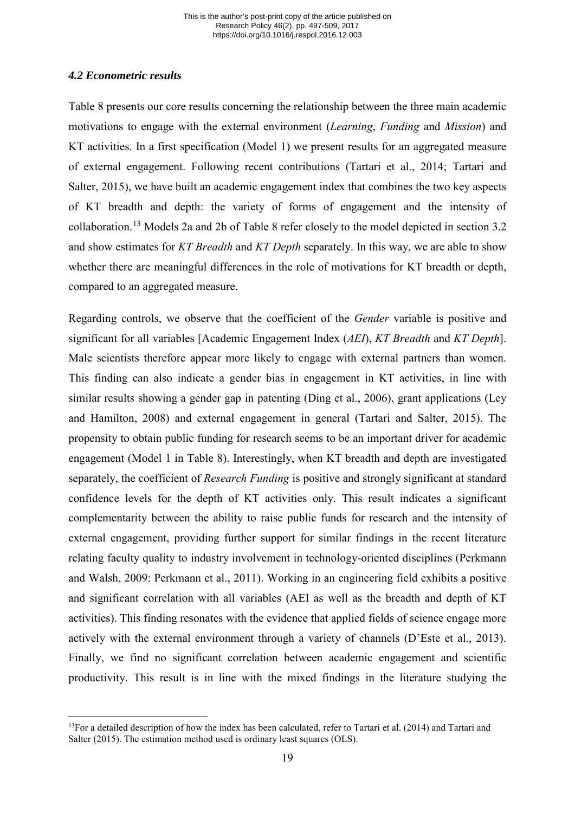# *4.2 Econometric results*

[Table 8](#page-39-0) presents our core results concerning the relationship between the three main academic motivations to engage with the external environment (*Learning*, *Funding* and *Mission*) and KT activities. In a first specification (Model 1) we present results for an aggregated measure of external engagement. Following recent contributions (Tartari et al., 2014; Tartari and Salter, 2015), we have built an academic engagement index that combines the two key aspects of KT breadth and depth: the variety of forms of engagement and the intensity of collaboration.[13](#page-19-0) Models 2a and 2b of [Table 8](#page-39-0) refer closely to the model depicted in section 3.2 and show estimates for *KT Breadth* and *KT Depth* separately. In this way, we are able to show whether there are meaningful differences in the role of motivations for KT breadth or depth, compared to an aggregated measure.

Regarding controls, we observe that the coefficient of the *Gender* variable is positive and significant for all variables [Academic Engagement Index (*AEI*), *KT Breadth* and *KT Depth*]. Male scientists therefore appear more likely to engage with external partners than women. This finding can also indicate a gender bias in engagement in KT activities, in line with similar results showing a gender gap in patenting (Ding et al., 2006), grant applications (Ley and Hamilton, 2008) and external engagement in general (Tartari and Salter, 2015). The propensity to obtain public funding for research seems to be an important driver for academic engagement (Model 1 in [Table 8\)](#page-39-0). Interestingly, when KT breadth and depth are investigated separately, the coefficient of *Research Funding* is positive and strongly significant at standard confidence levels for the depth of KT activities only. This result indicates a significant complementarity between the ability to raise public funds for research and the intensity of external engagement, providing further support for similar findings in the recent literature relating faculty quality to industry involvement in technology-oriented disciplines (Perkmann and Walsh, 2009: Perkmann et al., 2011). Working in an engineering field exhibits a positive and significant correlation with all variables (AEI as well as the breadth and depth of KT activities). This finding resonates with the evidence that applied fields of science engage more actively with the external environment through a variety of channels (D'Este et al., 2013). Finally, we find no significant correlation between academic engagement and scientific productivity. This result is in line with the mixed findings in the literature studying the

<span id="page-19-0"></span><sup>-</sup> $13$ For a detailed description of how the index has been calculated, refer to Tartari et al. (2014) and Tartari and Salter (2015). The estimation method used is ordinary least squares (OLS).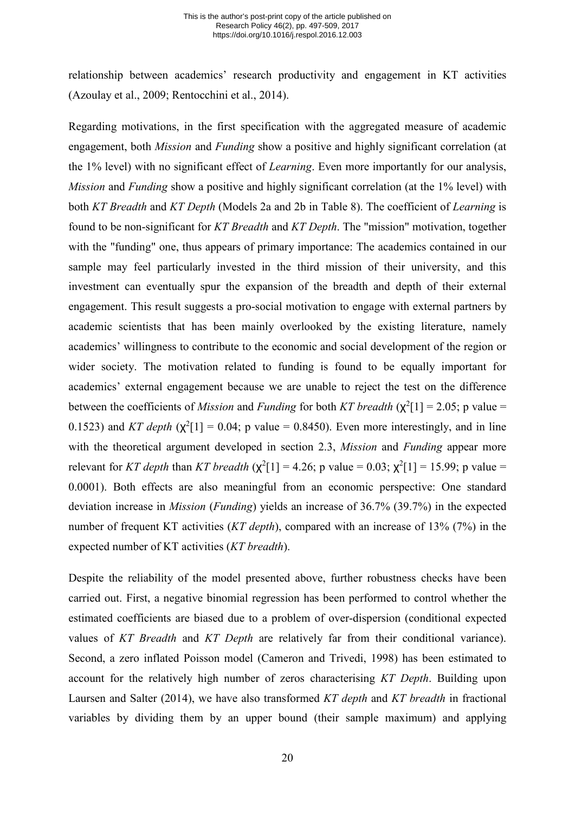relationship between academics' research productivity and engagement in KT activities (Azoulay et al., 2009; Rentocchini et al., 2014).

Regarding motivations, in the first specification with the aggregated measure of academic engagement, both *Mission* and *Funding* show a positive and highly significant correlation (at the 1% level) with no significant effect of *Learning*. Even more importantly for our analysis, *Mission* and *Funding* show a positive and highly significant correlation (at the 1% level) with both *KT Breadth* and *KT Depth* (Models 2a and 2b in [Table 8\)](#page-39-0). The coefficient of *Learning* is found to be non-significant for *KT Breadth* and *KT Depth*. The "mission" motivation, together with the "funding" one, thus appears of primary importance: The academics contained in our sample may feel particularly invested in the third mission of their university, and this investment can eventually spur the expansion of the breadth and depth of their external engagement. This result suggests a pro-social motivation to engage with external partners by academic scientists that has been mainly overlooked by the existing literature, namely academics' willingness to contribute to the economic and social development of the region or wider society. The motivation related to funding is found to be equally important for academics' external engagement because we are unable to reject the test on the difference between the coefficients of *Mission* and *Funding* for both *KT* breadth  $(\chi^2[1] = 2.05$ ; p value = 0.1523) and *KT depth*  $(\chi^2[1] = 0.04; p$  value = 0.8450). Even more interestingly, and in line with the theoretical argument developed in section 2.3, *Mission* and *Funding* appear more relevant for *KT depth* than *KT breadth* ( $\chi^2[1] = 4.26$ ; p value = 0.03;  $\chi^2[1] = 15.99$ ; p value = 0.0001). Both effects are also meaningful from an economic perspective: One standard deviation increase in *Mission* (*Funding*) yields an increase of 36.7% (39.7%) in the expected number of frequent KT activities (*KT depth*), compared with an increase of 13% (7%) in the expected number of KT activities (*KT breadth*).

Despite the reliability of the model presented above, further robustness checks have been carried out. First, a negative binomial regression has been performed to control whether the estimated coefficients are biased due to a problem of over-dispersion (conditional expected values of *KT Breadth* and *KT Depth* are relatively far from their conditional variance). Second, a zero inflated Poisson model (Cameron and Trivedi, 1998) has been estimated to account for the relatively high number of zeros characterising *KT Depth*. Building upon Laursen and Salter (2014), we have also transformed *KT depth* and *KT breadth* in fractional variables by dividing them by an upper bound (their sample maximum) and applying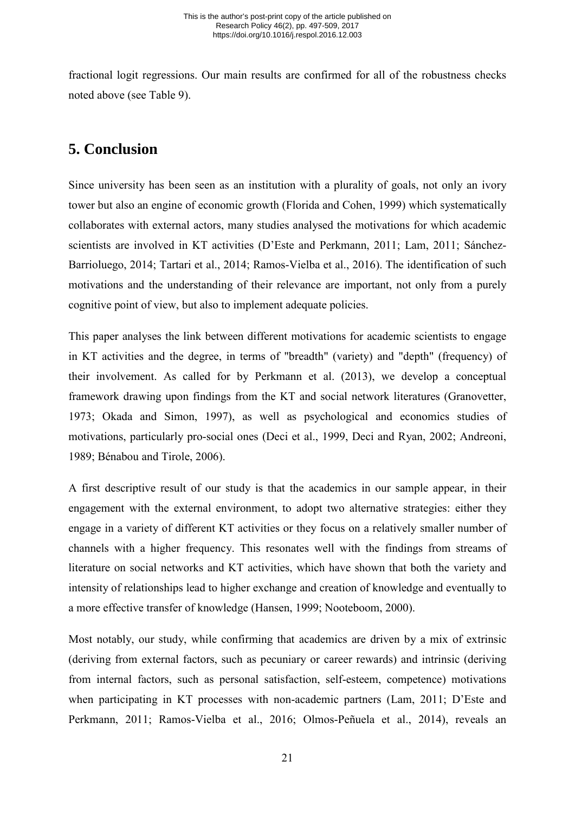fractional logit regressions. Our main results are confirmed for all of the robustness checks noted above (see [Table 9\)](#page-41-0).

# **5. Conclusion**

Since university has been seen as an institution with a plurality of goals, not only an ivory tower but also an engine of economic growth (Florida and Cohen, 1999) which systematically collaborates with external actors, many studies analysed the motivations for which academic scientists are involved in KT activities (D'Este and Perkmann, 2011; Lam, 2011; Sánchez-Barrioluego, 2014; Tartari et al., 2014; Ramos-Vielba et al., 2016). The identification of such motivations and the understanding of their relevance are important, not only from a purely cognitive point of view, but also to implement adequate policies.

This paper analyses the link between different motivations for academic scientists to engage in KT activities and the degree, in terms of "breadth" (variety) and "depth" (frequency) of their involvement. As called for by Perkmann et al. (2013), we develop a conceptual framework drawing upon findings from the KT and social network literatures (Granovetter, 1973; Okada and Simon, 1997), as well as psychological and economics studies of motivations, particularly pro-social ones (Deci et al., 1999, Deci and Ryan, 2002; Andreoni, 1989; Bénabou and Tirole, 2006).

A first descriptive result of our study is that the academics in our sample appear, in their engagement with the external environment, to adopt two alternative strategies: either they engage in a variety of different KT activities or they focus on a relatively smaller number of channels with a higher frequency. This resonates well with the findings from streams of literature on social networks and KT activities, which have shown that both the variety and intensity of relationships lead to higher exchange and creation of knowledge and eventually to a more effective transfer of knowledge (Hansen, 1999; Nooteboom, 2000).

Most notably, our study, while confirming that academics are driven by a mix of extrinsic (deriving from external factors, such as pecuniary or career rewards) and intrinsic (deriving from internal factors, such as personal satisfaction, self-esteem, competence) motivations when participating in KT processes with non-academic partners (Lam, 2011; D'Este and Perkmann, 2011; Ramos-Vielba et al., 2016; Olmos-Peñuela et al., 2014), reveals an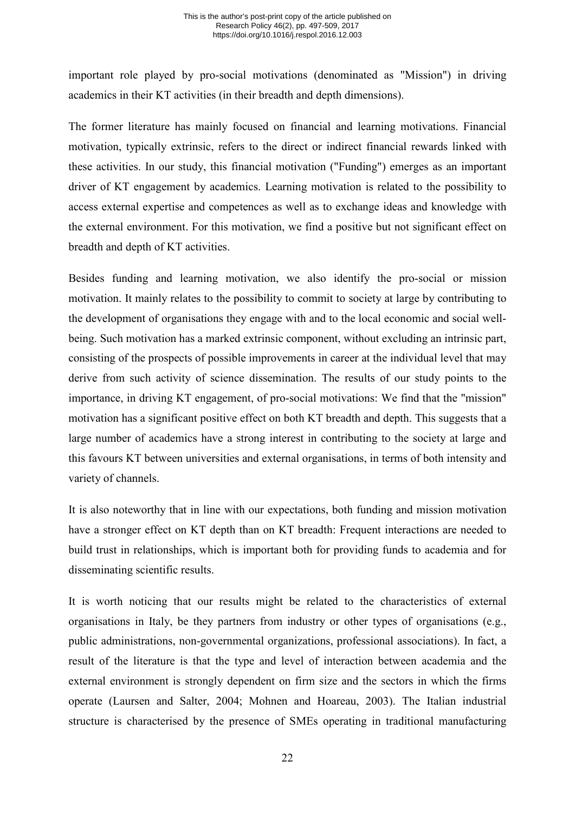important role played by pro-social motivations (denominated as "Mission") in driving academics in their KT activities (in their breadth and depth dimensions).

The former literature has mainly focused on financial and learning motivations. Financial motivation, typically extrinsic, refers to the direct or indirect financial rewards linked with these activities. In our study, this financial motivation ("Funding") emerges as an important driver of KT engagement by academics. Learning motivation is related to the possibility to access external expertise and competences as well as to exchange ideas and knowledge with the external environment. For this motivation, we find a positive but not significant effect on breadth and depth of KT activities.

Besides funding and learning motivation, we also identify the pro-social or mission motivation. It mainly relates to the possibility to commit to society at large by contributing to the development of organisations they engage with and to the local economic and social wellbeing. Such motivation has a marked extrinsic component, without excluding an intrinsic part, consisting of the prospects of possible improvements in career at the individual level that may derive from such activity of science dissemination. The results of our study points to the importance, in driving KT engagement, of pro-social motivations: We find that the "mission" motivation has a significant positive effect on both KT breadth and depth. This suggests that a large number of academics have a strong interest in contributing to the society at large and this favours KT between universities and external organisations, in terms of both intensity and variety of channels.

It is also noteworthy that in line with our expectations, both funding and mission motivation have a stronger effect on KT depth than on KT breadth: Frequent interactions are needed to build trust in relationships, which is important both for providing funds to academia and for disseminating scientific results.

It is worth noticing that our results might be related to the characteristics of external organisations in Italy, be they partners from industry or other types of organisations (e.g., public administrations, non-governmental organizations, professional associations). In fact, a result of the literature is that the type and level of interaction between academia and the external environment is strongly dependent on firm size and the sectors in which the firms operate (Laursen and Salter, 2004; Mohnen and Hoareau, 2003). The Italian industrial structure is characterised by the presence of SMEs operating in traditional manufacturing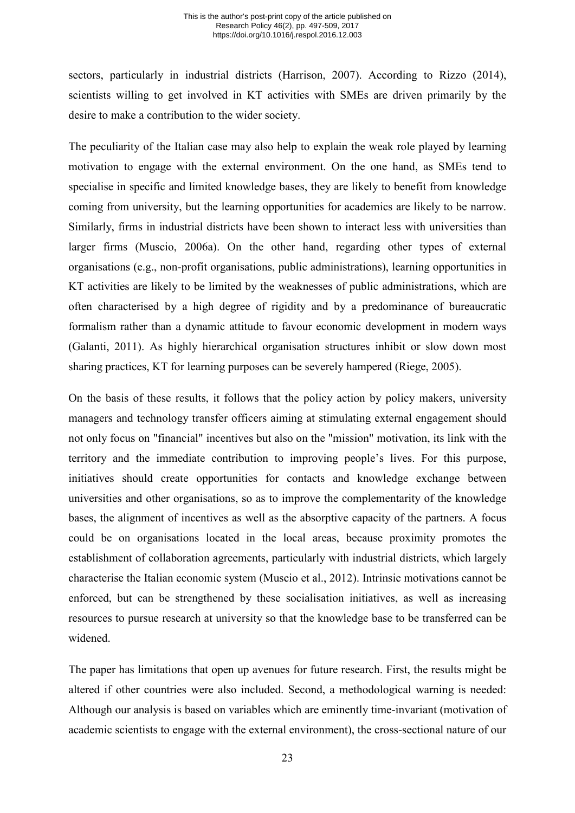sectors, particularly in industrial districts (Harrison, 2007). According to Rizzo (2014), scientists willing to get involved in KT activities with SMEs are driven primarily by the desire to make a contribution to the wider society.

The peculiarity of the Italian case may also help to explain the weak role played by learning motivation to engage with the external environment. On the one hand, as SMEs tend to specialise in specific and limited knowledge bases, they are likely to benefit from knowledge coming from university, but the learning opportunities for academics are likely to be narrow. Similarly, firms in industrial districts have been shown to interact less with universities than larger firms (Muscio, 2006a). On the other hand, regarding other types of external organisations (e.g., non-profit organisations, public administrations), learning opportunities in KT activities are likely to be limited by the weaknesses of public administrations, which are often characterised by a high degree of rigidity and by a predominance of bureaucratic formalism rather than a dynamic attitude to favour economic development in modern ways (Galanti, 2011). As highly hierarchical organisation structures inhibit or slow down most sharing practices, KT for learning purposes can be severely hampered (Riege, 2005).

On the basis of these results, it follows that the policy action by policy makers, university managers and technology transfer officers aiming at stimulating external engagement should not only focus on "financial" incentives but also on the "mission" motivation, its link with the territory and the immediate contribution to improving people's lives. For this purpose, initiatives should create opportunities for contacts and knowledge exchange between universities and other organisations, so as to improve the complementarity of the knowledge bases, the alignment of incentives as well as the absorptive capacity of the partners. A focus could be on organisations located in the local areas, because proximity promotes the establishment of collaboration agreements, particularly with industrial districts, which largely characterise the Italian economic system (Muscio et al., 2012). Intrinsic motivations cannot be enforced, but can be strengthened by these socialisation initiatives, as well as increasing resources to pursue research at university so that the knowledge base to be transferred can be widened.

The paper has limitations that open up avenues for future research. First, the results might be altered if other countries were also included. Second, a methodological warning is needed: Although our analysis is based on variables which are eminently time-invariant (motivation of academic scientists to engage with the external environment), the cross-sectional nature of our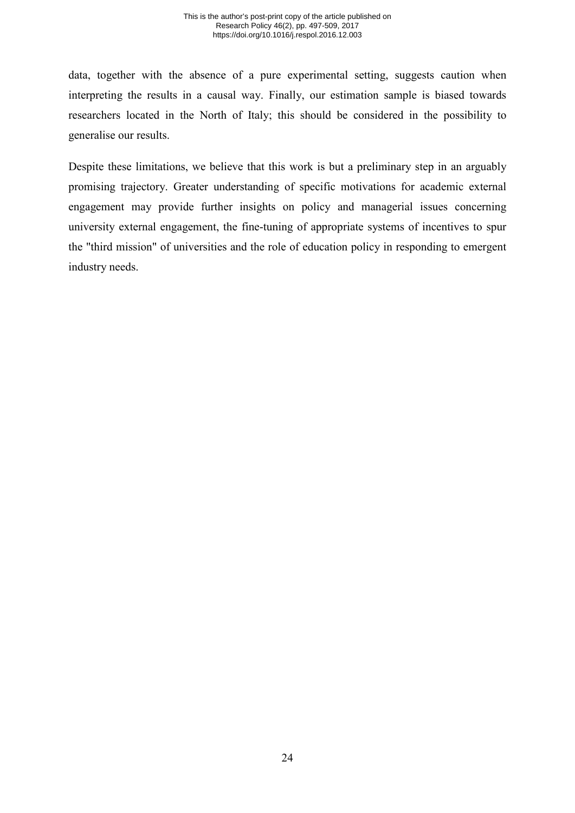data, together with the absence of a pure experimental setting, suggests caution when interpreting the results in a causal way. Finally, our estimation sample is biased towards researchers located in the North of Italy; this should be considered in the possibility to generalise our results.

Despite these limitations, we believe that this work is but a preliminary step in an arguably promising trajectory. Greater understanding of specific motivations for academic external engagement may provide further insights on policy and managerial issues concerning university external engagement, the fine-tuning of appropriate systems of incentives to spur the "third mission" of universities and the role of education policy in responding to emergent industry needs.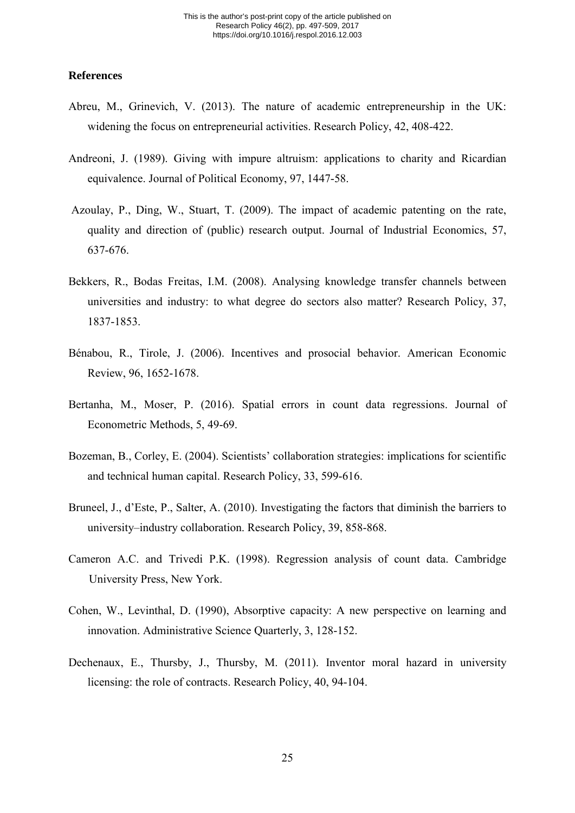### **References**

- Abreu, M., Grinevich, V. (2013). The nature of academic entrepreneurship in the UK: widening the focus on entrepreneurial activities. Research Policy, 42, 408-422.
- Andreoni, J. (1989). Giving with impure altruism: applications to charity and Ricardian equivalence. Journal of Political Economy, 97, 1447-58.
- Azoulay, P., Ding, W., Stuart, T. (2009). The impact of academic patenting on the rate, quality and direction of (public) research output. Journal of Industrial Economics, 57, 637-676.
- Bekkers, R., Bodas Freitas, I.M. (2008). Analysing knowledge transfer channels between universities and industry: to what degree do sectors also matter? Research Policy, 37, 1837-1853.
- Bénabou, R., Tirole, J. (2006). Incentives and prosocial behavior. American Economic Review, 96, 1652-1678.
- Bertanha, M., Moser, P. (2016). Spatial errors in count data regressions. Journal of Econometric Methods, 5, 49-69.
- Bozeman, B., Corley, E. (2004). Scientists' collaboration strategies: implications for scientific and technical human capital. Research Policy, 33, 599-616.
- Bruneel, J., d'Este, P., Salter, A. (2010). Investigating the factors that diminish the barriers to university–industry collaboration. Research Policy, 39, 858-868.
- Cameron A.C. and Trivedi P.K. (1998). Regression analysis of count data. Cambridge University Press, New York.
- Cohen, W., Levinthal, D. (1990), Absorptive capacity: A new perspective on learning and innovation. Administrative Science Quarterly, 3, 128-152.
- Dechenaux, E., Thursby, J., Thursby, M. (2011). Inventor moral hazard in university licensing: the role of contracts. Research Policy, 40, 94-104.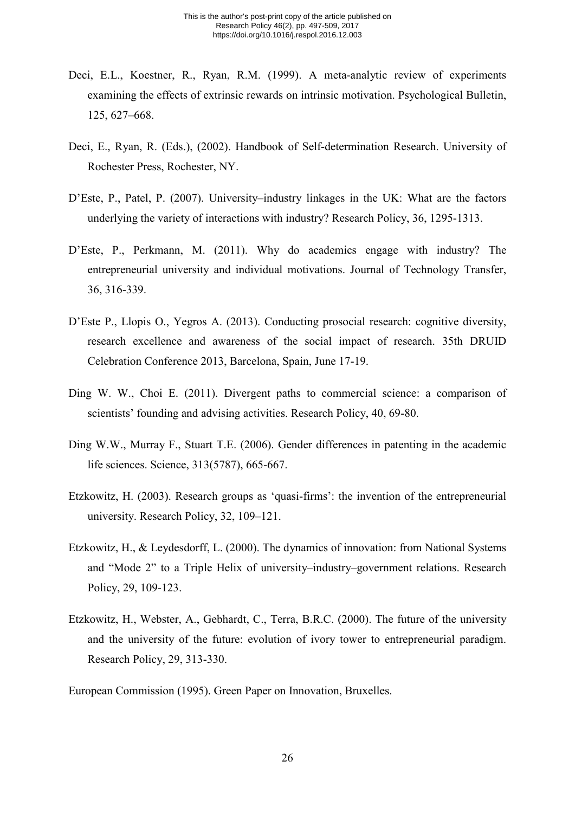- Deci, E.L., Koestner, R., Ryan, R.M. (1999). A meta-analytic review of experiments examining the effects of extrinsic rewards on intrinsic motivation. Psychological Bulletin, 125, 627–668.
- Deci, E., Ryan, R. (Eds.), (2002). Handbook of Self-determination Research. University of Rochester Press, Rochester, NY.
- D'Este, P., Patel, P. (2007). University–industry linkages in the UK: What are the factors underlying the variety of interactions with industry? Research Policy, 36, 1295-1313.
- D'Este, P., Perkmann, M. (2011). Why do academics engage with industry? The entrepreneurial university and individual motivations. Journal of Technology Transfer, 36, 316-339.
- D'Este P., Llopis O., Yegros A. (2013). Conducting prosocial research: cognitive diversity, research excellence and awareness of the social impact of research. 35th DRUID Celebration Conference 2013, Barcelona, Spain, June 17-19.
- Ding W. W., Choi E. (2011). Divergent paths to commercial science: a comparison of scientists' founding and advising activities. Research Policy, 40, 69-80.
- Ding W.W., Murray F., Stuart T.E. (2006). Gender differences in patenting in the academic life sciences. Science, 313(5787), 665-667.
- Etzkowitz, H. (2003). Research groups as 'quasi-firms': the invention of the entrepreneurial university. Research Policy, 32, 109–121.
- Etzkowitz, H., & Leydesdorff, L. (2000). The dynamics of innovation: from National Systems and "Mode 2" to a Triple Helix of university–industry–government relations. Research Policy, 29, 109-123.
- Etzkowitz, H., Webster, A., Gebhardt, C., Terra, B.R.C. (2000). The future of the university and the university of the future: evolution of ivory tower to entrepreneurial paradigm. Research Policy, 29, 313-330.
- European Commission (1995). Green Paper on Innovation, Bruxelles.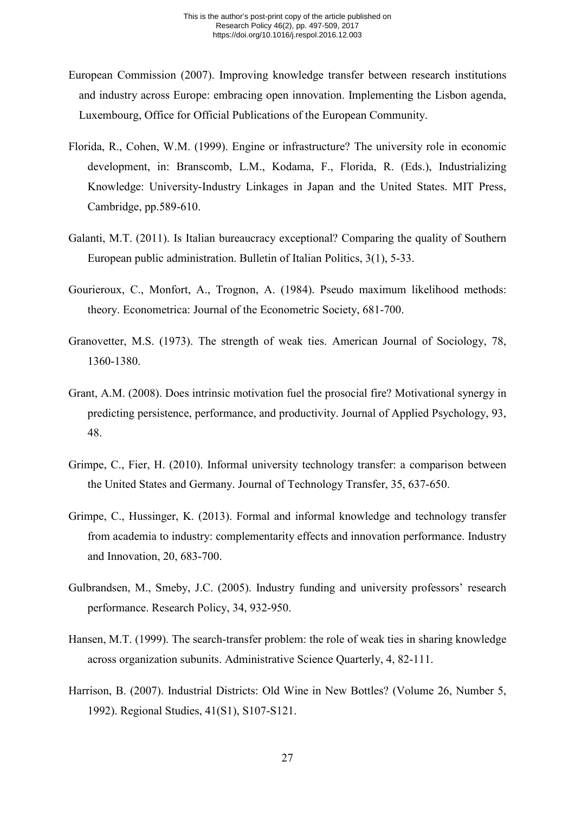- European Commission (2007). Improving knowledge transfer between research institutions and industry across Europe: embracing open innovation. Implementing the Lisbon agenda, Luxembourg, Office for Official Publications of the European Community.
- Florida, R., Cohen, W.M. (1999). Engine or infrastructure? The university role in economic development, in: Branscomb, L.M., Kodama, F., Florida, R. (Eds.), Industrializing Knowledge: University-Industry Linkages in Japan and the United States. MIT Press, Cambridge, pp.589-610.
- Galanti, M.T. (2011). Is Italian bureaucracy exceptional? Comparing the quality of Southern European public administration. Bulletin of Italian Politics, 3(1), 5-33.
- Gourieroux, C., Monfort, A., Trognon, A. (1984). Pseudo maximum likelihood methods: theory. Econometrica: Journal of the Econometric Society, 681-700.
- Granovetter, M.S. (1973). The strength of weak ties. American Journal of Sociology, 78, 1360-1380.
- Grant, A.M. (2008). Does intrinsic motivation fuel the prosocial fire? Motivational synergy in predicting persistence, performance, and productivity. Journal of Applied Psychology, 93, 48.
- Grimpe, C., Fier, H. (2010). Informal university technology transfer: a comparison between the United States and Germany. Journal of Technology Transfer, 35, 637-650.
- Grimpe, C., Hussinger, K. (2013). Formal and informal knowledge and technology transfer from academia to industry: complementarity effects and innovation performance. Industry and Innovation, 20, 683-700.
- Gulbrandsen, M., Smeby, J.C. (2005). Industry funding and university professors' research performance. Research Policy, 34, 932-950.
- Hansen, M.T. (1999). The search-transfer problem: the role of weak ties in sharing knowledge across organization subunits. Administrative Science Quarterly, 4, 82-111.
- Harrison, B. (2007). Industrial Districts: Old Wine in New Bottles? (Volume 26, Number 5, 1992). Regional Studies, 41(S1), S107-S121.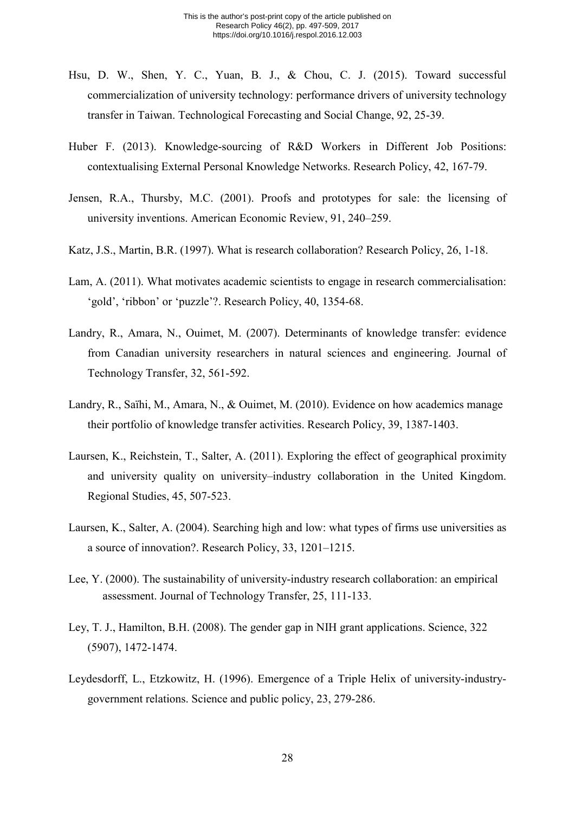- Hsu, D. W., Shen, Y. C., Yuan, B. J., & Chou, C. J. (2015). Toward successful commercialization of university technology: performance drivers of university technology transfer in Taiwan. Technological Forecasting and Social Change, 92, 25-39.
- Huber F. (2013). Knowledge-sourcing of R&D Workers in Different Job Positions: contextualising External Personal Knowledge Networks. Research Policy, 42, 167-79.
- Jensen, R.A., Thursby, M.C. (2001). Proofs and prototypes for sale: the licensing of university inventions. American Economic Review, 91, 240–259.
- Katz, J.S., Martin, B.R. (1997). What is research collaboration? Research Policy, 26, 1-18.
- Lam, A. (2011). What motivates academic scientists to engage in research commercialisation: 'gold', 'ribbon' or 'puzzle'?. Research Policy, 40, 1354-68.
- Landry, R., Amara, N., Ouimet, M. (2007). Determinants of knowledge transfer: evidence from Canadian university researchers in natural sciences and engineering. Journal of Technology Transfer, 32, 561-592.
- Landry, R., Saïhi, M., Amara, N., & Ouimet, M. (2010). Evidence on how academics manage their portfolio of knowledge transfer activities. Research Policy, 39, 1387-1403.
- Laursen, K., Reichstein, T., Salter, A. (2011). Exploring the effect of geographical proximity and university quality on university–industry collaboration in the United Kingdom. Regional Studies, 45, 507-523.
- Laursen, K., Salter, A. (2004). Searching high and low: what types of firms use universities as a source of innovation?. Research Policy, 33, 1201–1215.
- Lee, Y. (2000). The sustainability of university-industry research collaboration: an empirical assessment. Journal of Technology Transfer, 25, 111-133.
- Ley, T. J., Hamilton, B.H. (2008). The gender gap in NIH grant applications. Science, 322 (5907), 1472-1474.
- Leydesdorff, L., Etzkowitz, H. (1996). Emergence of a Triple Helix of university-industrygovernment relations. Science and public policy, 23, 279-286.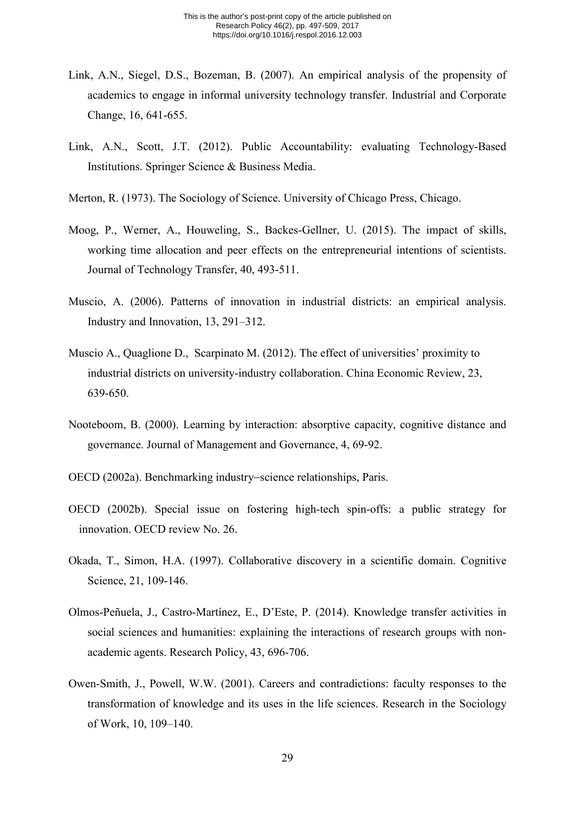- Link, A.N., Siegel, D.S., Bozeman, B. (2007). An empirical analysis of the propensity of academics to engage in informal university technology transfer. Industrial and Corporate Change, 16, 641-655.
- Link, A.N., Scott, J.T. (2012). Public Accountability: evaluating Technology-Based Institutions. Springer Science & Business Media.
- Merton, R. (1973). The Sociology of Science. University of Chicago Press, Chicago.
- Moog, P., Werner, A., Houweling, S., Backes-Gellner, U. (2015). The impact of skills, working time allocation and peer effects on the entrepreneurial intentions of scientists. Journal of Technology Transfer, 40, 493-511.
- Muscio, A. (2006). Patterns of innovation in industrial districts: an empirical analysis. Industry and Innovation, 13, 291–312.
- Muscio A., Quaglione D., Scarpinato M. (2012). The effect of universities' proximity to industrial districts on university-industry collaboration. China Economic Review, 23, 639-650.
- Nooteboom, B. (2000). Learning by interaction: absorptive capacity, cognitive distance and governance. Journal of Management and Governance, 4, 69-92.
- OECD (2002a). Benchmarking industry−science relationships, Paris.
- OECD (2002b). Special issue on fostering high-tech spin-offs: a public strategy for innovation. OECD review No. 26.
- Okada, T., Simon, H.A. (1997). Collaborative discovery in a scientific domain. Cognitive Science, 21, 109-146.
- Olmos-Peñuela, J., Castro-Martínez, E., D'Este, P. (2014). Knowledge transfer activities in social sciences and humanities: explaining the interactions of research groups with nonacademic agents. Research Policy, 43, 696-706.
- Owen-Smith, J., Powell, W.W. (2001). Careers and contradictions: faculty responses to the transformation of knowledge and its uses in the life sciences. Research in the Sociology of Work, 10, 109–140.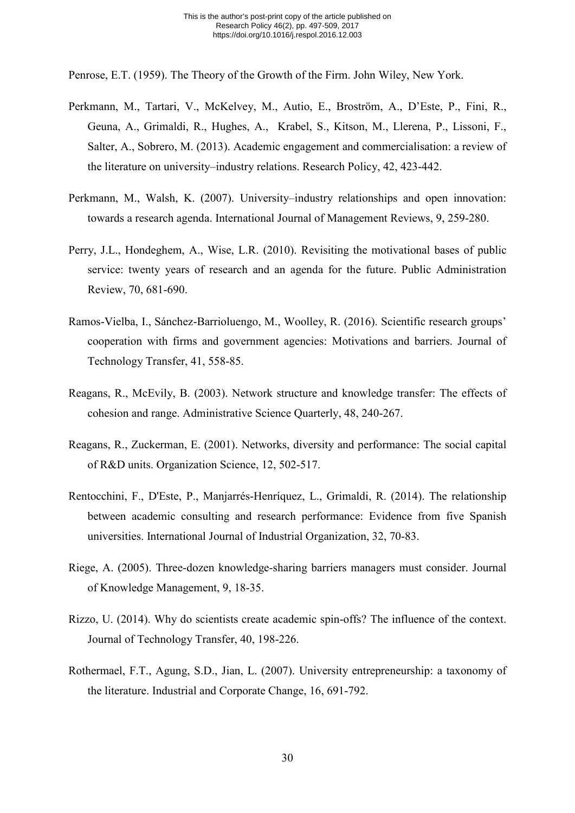Penrose, E.T. (1959). The Theory of the Growth of the Firm. John Wiley, New York.

- Perkmann, M., Tartari, V., McKelvey, M., Autio, E., Broström, A., D'Este, P., Fini, R., Geuna, A., Grimaldi, R., Hughes, A., Krabel, S., Kitson, M., Llerena, P., Lissoni, F., Salter, A., Sobrero, M. (2013). Academic engagement and commercialisation: a review of the literature on university–industry relations. Research Policy, 42, 423-442.
- Perkmann, M., Walsh, K. (2007). University–industry relationships and open innovation: towards a research agenda. International Journal of Management Reviews, 9, 259-280.
- Perry, J.L., Hondeghem, A., Wise, L.R. (2010). Revisiting the motivational bases of public service: twenty years of research and an agenda for the future. Public Administration Review, 70, 681-690.
- Ramos-Vielba, I., Sánchez-Barrioluengo, M., Woolley, R. (2016). Scientific research groups' cooperation with firms and government agencies: Motivations and barriers. Journal of Technology Transfer, 41, 558-85.
- Reagans, R., McEvily, B. (2003). Network structure and knowledge transfer: The effects of cohesion and range. Administrative Science Quarterly, 48, 240-267.
- Reagans, R., Zuckerman, E. (2001). Networks, diversity and performance: The social capital of R&D units. Organization Science, 12, 502-517.
- Rentocchini, F., D'Este, P., Manjarrés-Henríquez, L., Grimaldi, R. (2014). The relationship between academic consulting and research performance: Evidence from five Spanish universities. International Journal of Industrial Organization, 32, 70-83.
- Riege, A. (2005). Three-dozen knowledge-sharing barriers managers must consider. Journal of Knowledge Management, 9, 18-35.
- Rizzo, U. (2014). Why do scientists create academic spin-offs? The influence of the context. Journal of Technology Transfer, 40, 198-226.
- Rothermael, F.T., Agung, S.D., Jian, L. (2007). University entrepreneurship: a taxonomy of the literature. Industrial and Corporate Change, 16, 691-792.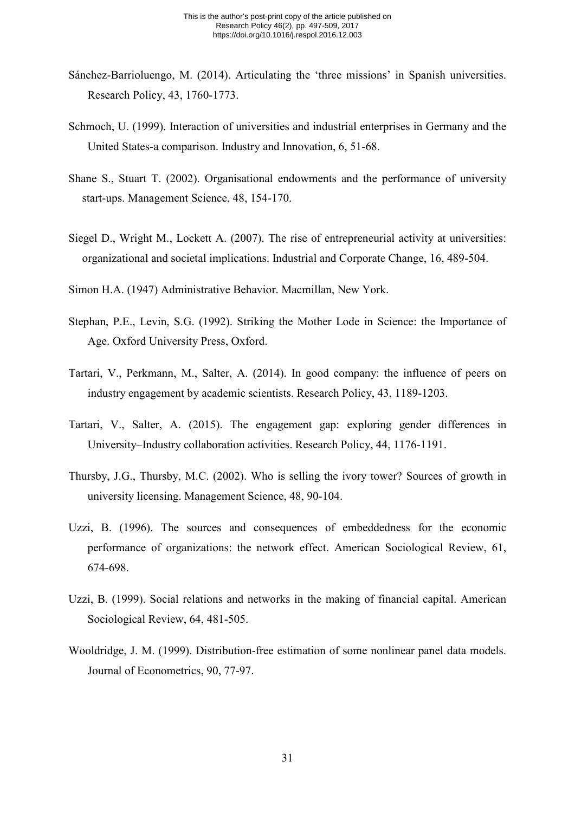- Sánchez-Barrioluengo, M. (2014). Articulating the 'three missions' in Spanish universities. Research Policy, 43, 1760-1773.
- Schmoch, U. (1999). Interaction of universities and industrial enterprises in Germany and the United States-a comparison. Industry and Innovation, 6, 51-68.
- Shane S., Stuart T. (2002). Organisational endowments and the performance of university start-ups. Management Science, 48, 154-170.
- Siegel D., Wright M., Lockett A. (2007). The rise of entrepreneurial activity at universities: organizational and societal implications. Industrial and Corporate Change, 16, 489-504.
- Simon H.A. (1947) Administrative Behavior. Macmillan, New York.
- Stephan, P.E., Levin, S.G. (1992). Striking the Mother Lode in Science: the Importance of Age. Oxford University Press, Oxford.
- Tartari, V., Perkmann, M., Salter, A. (2014). In good company: the influence of peers on industry engagement by academic scientists. Research Policy, 43, 1189-1203.
- Tartari, V., Salter, A. (2015). The engagement gap: exploring gender differences in University–Industry collaboration activities. Research Policy, 44, 1176-1191.
- Thursby, J.G., Thursby, M.C. (2002). Who is selling the ivory tower? Sources of growth in university licensing. Management Science, 48, 90-104.
- Uzzi, B. (1996). The sources and consequences of embeddedness for the economic performance of organizations: the network effect. American Sociological Review, 61, 674-698.
- Uzzi, B. (1999). Social relations and networks in the making of financial capital. American Sociological Review, 64, 481-505.
- Wooldridge, J. M. (1999). Distribution-free estimation of some nonlinear panel data models. Journal of Econometrics, 90, 77-97.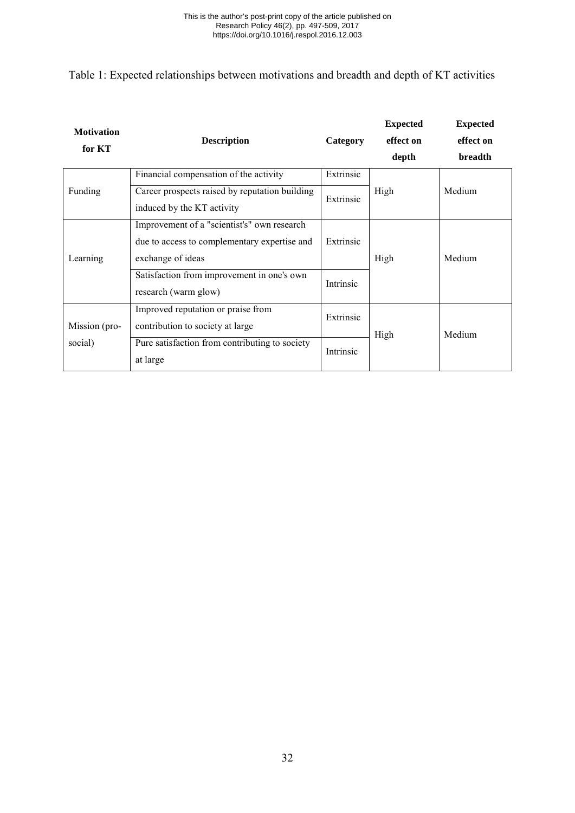<span id="page-32-0"></span>Table 1: Expected relationships between motivations and breadth and depth of KT activities

| <b>Motivation</b><br>for KT | <b>Description</b>                                                                                               | Category  | <b>Expected</b><br>effect on<br>depth | <b>Expected</b><br>effect on<br><b>breadth</b> |  |
|-----------------------------|------------------------------------------------------------------------------------------------------------------|-----------|---------------------------------------|------------------------------------------------|--|
|                             | Financial compensation of the activity                                                                           | Extrinsic |                                       |                                                |  |
| Funding                     | Career prospects raised by reputation building<br>induced by the KT activity                                     | Extrinsic | High                                  | Medium                                         |  |
| Learning                    | Improvement of a "scientist's" own research<br>due to access to complementary expertise and<br>exchange of ideas | Extrinsic | High                                  | Medium                                         |  |
|                             | Satisfaction from improvement in one's own<br>research (warm glow)                                               | Intrinsic |                                       |                                                |  |
| Mission (pro-               | Improved reputation or praise from<br>contribution to society at large                                           | Extrinsic | High                                  | Medium                                         |  |
| social)                     | Pure satisfaction from contributing to society<br>at large                                                       | Intrinsic |                                       |                                                |  |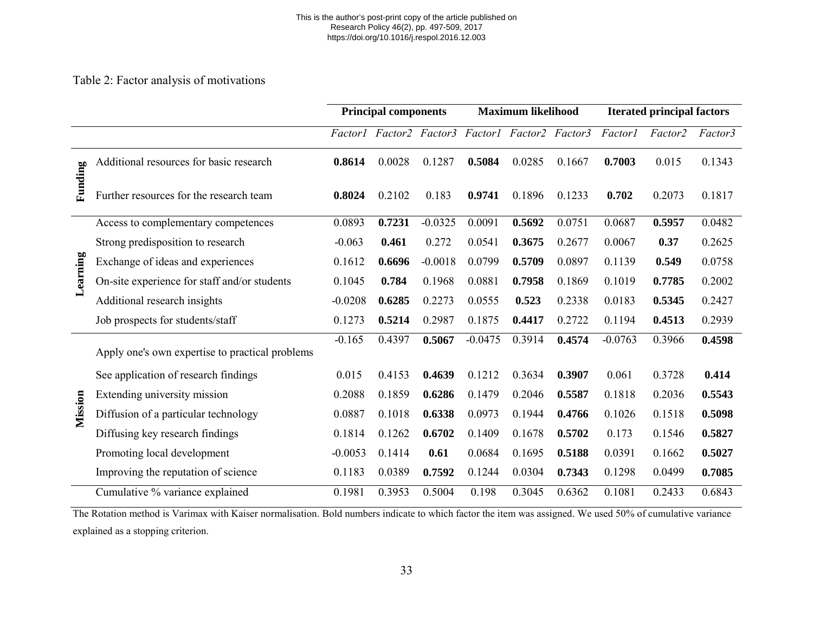#### This is the author's post-print copy of the article published on Research Policy 46(2), pp. 497-509, 2017 https://doi.org/10.1016/j.respol.2016.12.003

## Table 2: Factor analysis of motivations

|          |                                                 |           | <b>Principal components</b>                     |           |           | <b>Maximum likelihood</b> |        |           | <b>Iterated principal factors</b> |         |  |
|----------|-------------------------------------------------|-----------|-------------------------------------------------|-----------|-----------|---------------------------|--------|-----------|-----------------------------------|---------|--|
|          |                                                 |           | Factor1 Factor2 Factor3 Factor1 Factor2 Factor3 |           |           |                           |        | Factor1   | Factor2                           | Factor3 |  |
|          | Additional resources for basic research         | 0.8614    | 0.0028                                          | 0.1287    | 0.5084    | 0.0285                    | 0.1667 | 0.7003    | 0.015                             | 0.1343  |  |
| Funding  | Further resources for the research team         | 0.8024    | 0.2102                                          | 0.183     | 0.9741    | 0.1896                    | 0.1233 | 0.702     | 0.2073                            | 0.1817  |  |
|          | Access to complementary competences             | 0.0893    | 0.7231                                          | $-0.0325$ | 0.0091    | 0.5692                    | 0.0751 | 0.0687    | 0.5957                            | 0.0482  |  |
|          | Strong predisposition to research               | $-0.063$  | 0.461                                           | 0.272     | 0.0541    | 0.3675                    | 0.2677 | 0.0067    | 0.37                              | 0.2625  |  |
|          | Exchange of ideas and experiences               | 0.1612    | 0.6696                                          | $-0.0018$ | 0.0799    | 0.5709                    | 0.0897 | 0.1139    | 0.549                             | 0.0758  |  |
| Learning | On-site experience for staff and/or students    | 0.1045    | 0.784                                           | 0.1968    | 0.0881    | 0.7958                    | 0.1869 | 0.1019    | 0.7785                            | 0.2002  |  |
|          | Additional research insights                    | $-0.0208$ | 0.6285                                          | 0.2273    | 0.0555    | 0.523                     | 0.2338 | 0.0183    | 0.5345                            | 0.2427  |  |
|          | Job prospects for students/staff                | 0.1273    | 0.5214                                          | 0.2987    | 0.1875    | 0.4417                    | 0.2722 | 0.1194    | 0.4513                            | 0.2939  |  |
|          | Apply one's own expertise to practical problems | $-0.165$  | 0.4397                                          | 0.5067    | $-0.0475$ | 0.3914                    | 0.4574 | $-0.0763$ | 0.3966                            | 0.4598  |  |
|          | See application of research findings            | 0.015     | 0.4153                                          | 0.4639    | 0.1212    | 0.3634                    | 0.3907 | 0.061     | 0.3728                            | 0.414   |  |
|          | Extending university mission                    | 0.2088    | 0.1859                                          | 0.6286    | 0.1479    | 0.2046                    | 0.5587 | 0.1818    | 0.2036                            | 0.5543  |  |
| Mission  | Diffusion of a particular technology            | 0.0887    | 0.1018                                          | 0.6338    | 0.0973    | 0.1944                    | 0.4766 | 0.1026    | 0.1518                            | 0.5098  |  |
|          | Diffusing key research findings                 | 0.1814    | 0.1262                                          | 0.6702    | 0.1409    | 0.1678                    | 0.5702 | 0.173     | 0.1546                            | 0.5827  |  |
|          | Promoting local development                     | $-0.0053$ | 0.1414                                          | 0.61      | 0.0684    | 0.1695                    | 0.5188 | 0.0391    | 0.1662                            | 0.5027  |  |
|          | Improving the reputation of science             | 0.1183    | 0.0389                                          | 0.7592    | 0.1244    | 0.0304                    | 0.7343 | 0.1298    | 0.0499                            | 0.7085  |  |
|          | Cumulative % variance explained                 | 0.1981    | 0.3953                                          | 0.5004    | 0.198     | 0.3045                    | 0.6362 | 0.1081    | 0.2433                            | 0.6843  |  |

<span id="page-33-0"></span>The Rotation method is Varimax with Kaiser normalisation. Bold numbers indicate to which factor the item was assigned. We used 50% of cumulative variance explained as a stopping criterion.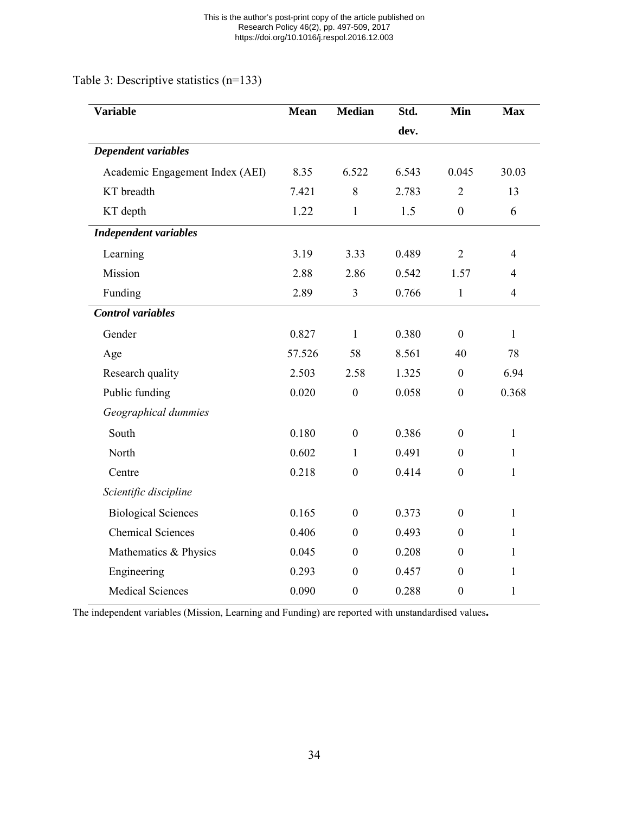Table 3: Descriptive statistics (n=133)

<span id="page-34-0"></span>

| <b>Variable</b>                 | <b>Mean</b> | <b>Median</b>    | Std.  | Min              | <b>Max</b>     |
|---------------------------------|-------------|------------------|-------|------------------|----------------|
|                                 |             |                  | dev.  |                  |                |
| Dependent variables             |             |                  |       |                  |                |
| Academic Engagement Index (AEI) | 8.35        | 6.522            | 6.543 | 0.045            | 30.03          |
| KT breadth                      | 7.421       | 8                | 2.783 | $\overline{2}$   | 13             |
| KT depth                        | 1.22        | $\mathbf{1}$     | 1.5   | $\overline{0}$   | 6              |
| <b>Independent variables</b>    |             |                  |       |                  |                |
| Learning                        | 3.19        | 3.33             | 0.489 | $\overline{2}$   | $\overline{4}$ |
| Mission                         | 2.88        | 2.86             | 0.542 | 1.57             | $\overline{4}$ |
| Funding                         | 2.89        | 3                | 0.766 | $\mathbf{1}$     | $\overline{4}$ |
| <b>Control</b> variables        |             |                  |       |                  |                |
| Gender                          | 0.827       | $\mathbf{1}$     | 0.380 | $\overline{0}$   | $\mathbf{1}$   |
| Age                             | 57.526      | 58               | 8.561 | 40               | 78             |
| Research quality                | 2.503       | 2.58             | 1.325 | $\boldsymbol{0}$ | 6.94           |
| Public funding                  | 0.020       | $\mathbf{0}$     | 0.058 | $\boldsymbol{0}$ | 0.368          |
| Geographical dummies            |             |                  |       |                  |                |
| South                           | 0.180       | $\boldsymbol{0}$ | 0.386 | $\boldsymbol{0}$ | $\mathbf{1}$   |
| North                           | 0.602       | $\mathbf{1}$     | 0.491 | $\mathbf{0}$     | $\mathbf{1}$   |
| Centre                          | 0.218       | $\boldsymbol{0}$ | 0.414 | $\boldsymbol{0}$ | $\mathbf{1}$   |
| Scientific discipline           |             |                  |       |                  |                |
| <b>Biological Sciences</b>      | 0.165       | $\boldsymbol{0}$ | 0.373 | $\mathbf{0}$     | $\mathbf{1}$   |
| <b>Chemical Sciences</b>        | 0.406       | $\boldsymbol{0}$ | 0.493 | $\boldsymbol{0}$ | $\mathbf{1}$   |
| Mathematics & Physics           | 0.045       | $\boldsymbol{0}$ | 0.208 | $\mathbf{0}$     | $\mathbf{1}$   |
| Engineering                     | 0.293       | $\boldsymbol{0}$ | 0.457 | $\boldsymbol{0}$ | $\mathbf{1}$   |
| <b>Medical Sciences</b>         | 0.090       | $\boldsymbol{0}$ | 0.288 | $\boldsymbol{0}$ | $\mathbf{1}$   |

The independent variables (Mission, Learning and Funding) are reported with unstandardised values**.**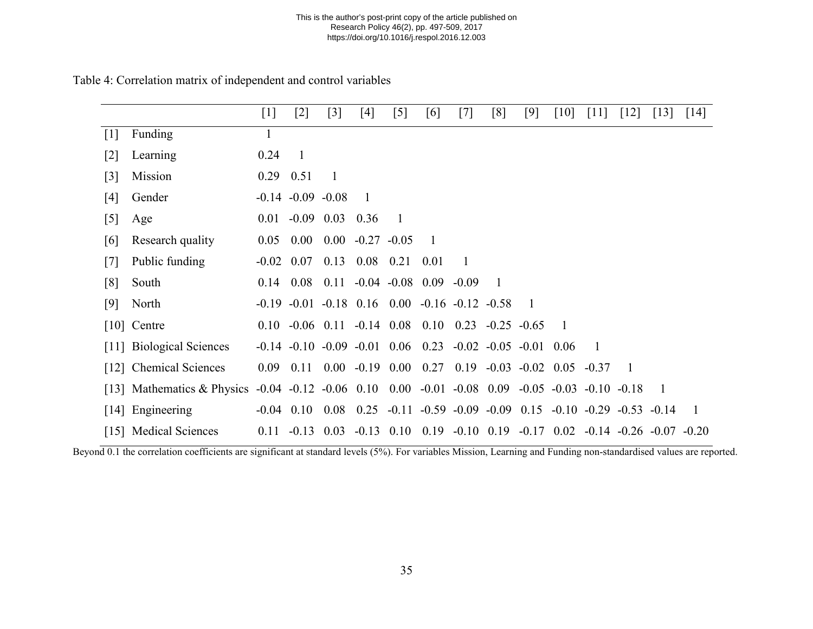#### This is the author's post-print copy of the article published on Research Policy 46(2), pp. 497-509, 2017 https://doi.org/10.1016/j.respol.2016.12.003

|       |                              | $[1]$             | [2]                                                 | $[3]$             | [4]                | [5]                    | [6]            | $[7]$                                                                                        | [8]            | $[9]$                     | $\lceil 10 \rceil$ | $[11]$         | $[12]$                          | $[13]$ | $\lceil 14 \rceil$ |
|-------|------------------------------|-------------------|-----------------------------------------------------|-------------------|--------------------|------------------------|----------------|----------------------------------------------------------------------------------------------|----------------|---------------------------|--------------------|----------------|---------------------------------|--------|--------------------|
| $[1]$ | <b>Funding</b>               | 1                 |                                                     |                   |                    |                        |                |                                                                                              |                |                           |                    |                |                                 |        |                    |
| [2]   | Learning                     | 0.24              | $\overline{1}$                                      |                   |                    |                        |                |                                                                                              |                |                           |                    |                |                                 |        |                    |
| [3]   | Mission                      |                   | $0.29$ 0.51                                         | $\overline{1}$    |                    |                        |                |                                                                                              |                |                           |                    |                |                                 |        |                    |
| [4]   | Gender                       |                   | $-0.14$ $-0.09$ $-0.08$                             |                   | $\overline{1}$     |                        |                |                                                                                              |                |                           |                    |                |                                 |        |                    |
| $[5]$ | Age                          | 0.01              |                                                     | $-0.09$ 0.03 0.36 |                    | $\overline{1}$         |                |                                                                                              |                |                           |                    |                |                                 |        |                    |
| [6]   | Research quality             | 0.05              | $0.00\,$                                            |                   | $0.00 -0.27 -0.05$ |                        | $\overline{1}$ |                                                                                              |                |                           |                    |                |                                 |        |                    |
| [7]   | Public funding               |                   | $-0.02$ 0.07 0.13 0.08 0.21                         |                   |                    |                        | 0.01           | $\overline{1}$                                                                               |                |                           |                    |                |                                 |        |                    |
| [8]   | South                        |                   | $0.14$ $0.08$ $0.11$ $-0.04$ $-0.08$ $0.09$ $-0.09$ |                   |                    |                        |                |                                                                                              | $\overline{1}$ |                           |                    |                |                                 |        |                    |
| [9]   | North                        |                   |                                                     |                   |                    |                        |                | $-0.19$ $-0.01$ $-0.18$ $0.16$ $0.00$ $-0.16$ $-0.12$ $-0.58$                                |                | -1                        |                    |                |                                 |        |                    |
|       | $[10]$ Centre                |                   |                                                     |                   |                    |                        |                | $0.10 - 0.06$ $0.11 - 0.14$ $0.08$ $0.10$ $0.23 - 0.25 - 0.65$                               |                |                           | -1                 |                |                                 |        |                    |
|       | [11] Biological Sciences     |                   |                                                     |                   |                    |                        |                | $-0.14$ $-0.10$ $-0.09$ $-0.01$ $0.06$ $0.23$ $-0.02$ $-0.05$ $-0.01$                        |                |                           | 0.06               | $\overline{1}$ |                                 |        |                    |
|       | [12] Chemical Sciences       | 0.09 <sub>1</sub> | 0.11                                                |                   |                    | $0.00 -0.19 0.00 0.27$ |                |                                                                                              |                | $0.19 - 0.03 - 0.02$ 0.05 |                    | $-0.37$        | -1                              |        |                    |
|       | [13] Mathematics $&$ Physics |                   |                                                     |                   |                    |                        |                | $-0.04$ $-0.12$ $-0.06$ $0.10$ $0.00$ $-0.01$ $-0.08$ $0.09$ $-0.05$ $-0.03$ $-0.10$ $-0.18$ |                |                           |                    |                |                                 | - 1    |                    |
|       | [14] Engineering             |                   |                                                     |                   |                    |                        |                | $-0.04$ 0.10 0.08 0.25 $-0.11$ $-0.59$ $-0.09$ $-0.09$ 0.15 $-0.10$ $-0.29$ $-0.53$ $-0.14$  |                |                           |                    |                |                                 |        | $\overline{1}$     |
|       | [15] Medical Sciences        | 0.11              | $-0.13$                                             | 0.03              | $-0.13$            | 0.10                   | 0.19           | $-0.10$ 0.19                                                                                 |                | $-0.17$ 0.02              |                    |                | $-0.14$ $-0.26$ $-0.07$ $-0.20$ |        |                    |

### Table 4: Correlation matrix of independent and control variables

<span id="page-35-0"></span>Beyond 0.1 the correlation coefficients are significant at standard levels (5%). For variables Mission, Learning and Funding non-standardised values are reported.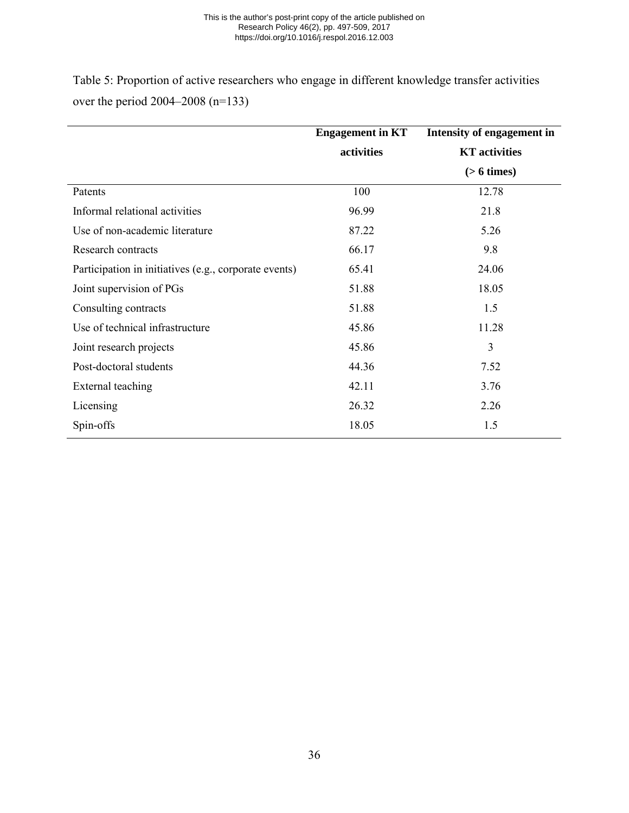#### This is the author's post-print copy of the article published on Research Policy 46(2), pp. 497-509, 2017 https://doi.org/10.1016/j.respol.2016.12.003

Table 5: Proportion of active researchers who engage in different knowledge transfer activities over the period 2004–2008 (n=133)

<span id="page-36-0"></span>

|                                                       | <b>Engagement</b> in KT | Intensity of engagement in |
|-------------------------------------------------------|-------------------------|----------------------------|
|                                                       | activities              | <b>KT</b> activities       |
|                                                       |                         | $(> 6 \times s)$           |
| Patents                                               | 100                     | 12.78                      |
| Informal relational activities                        | 96.99                   | 21.8                       |
| Use of non-academic literature                        | 87.22                   | 5.26                       |
| Research contracts                                    | 66.17                   | 9.8                        |
| Participation in initiatives (e.g., corporate events) | 65.41                   | 24.06                      |
| Joint supervision of PGs                              | 51.88                   | 18.05                      |
| Consulting contracts                                  | 51.88                   | 1.5                        |
| Use of technical infrastructure                       | 45.86                   | 11.28                      |
| Joint research projects                               | 45.86                   | 3                          |
| Post-doctoral students                                | 44.36                   | 7.52                       |
| External teaching                                     | 42.11                   | 3.76                       |
| Licensing                                             | 26.32                   | 2.26                       |
| Spin-offs                                             | 18.05                   | 1.5                        |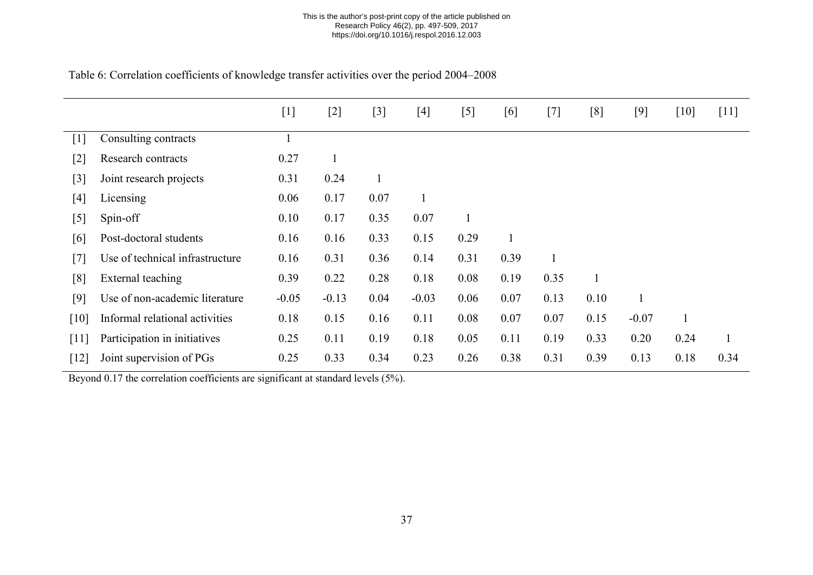| Table 6: Correlation coefficients of knowledge transfer activities over the period 2004–2008 |  |  |  |
|----------------------------------------------------------------------------------------------|--|--|--|
|----------------------------------------------------------------------------------------------|--|--|--|

|        |                                 | $[1]$   | $[2]$   | $[3]$ | [4]     | [5]  | [6]  | $[7]$ | [8]  | $[9]$   | $[10]$ | $[11]$       |
|--------|---------------------------------|---------|---------|-------|---------|------|------|-------|------|---------|--------|--------------|
| $[1]$  | Consulting contracts            |         |         |       |         |      |      |       |      |         |        |              |
| $[2]$  | Research contracts              | 0.27    |         |       |         |      |      |       |      |         |        |              |
| $[3]$  | Joint research projects         | 0.31    | 0.24    |       |         |      |      |       |      |         |        |              |
| $[4]$  | Licensing                       | 0.06    | 0.17    | 0.07  |         |      |      |       |      |         |        |              |
| $[5]$  | Spin-off                        | 0.10    | 0.17    | 0.35  | 0.07    |      |      |       |      |         |        |              |
| [6]    | Post-doctoral students          | 0.16    | 0.16    | 0.33  | 0.15    | 0.29 |      |       |      |         |        |              |
| $[7]$  | Use of technical infrastructure | 0.16    | 0.31    | 0.36  | 0.14    | 0.31 | 0.39 |       |      |         |        |              |
| [8]    | External teaching               | 0.39    | 0.22    | 0.28  | 0.18    | 0.08 | 0.19 | 0.35  |      |         |        |              |
| [9]    | Use of non-academic literature  | $-0.05$ | $-0.13$ | 0.04  | $-0.03$ | 0.06 | 0.07 | 0.13  | 0.10 |         |        |              |
| [10]   | Informal relational activities  | 0.18    | 0.15    | 0.16  | 0.11    | 0.08 | 0.07 | 0.07  | 0.15 | $-0.07$ |        |              |
| $[11]$ | Participation in initiatives    | 0.25    | 0.11    | 0.19  | 0.18    | 0.05 | 0.11 | 0.19  | 0.33 | 0.20    | 0.24   | $\mathbf{1}$ |
| $[12]$ | Joint supervision of PGs        | 0.25    | 0.33    | 0.34  | 0.23    | 0.26 | 0.38 | 0.31  | 0.39 | 0.13    | 0.18   | 0.34         |

<span id="page-37-0"></span>Beyond 0.17 the correlation coefficients are significant at standard levels (5%).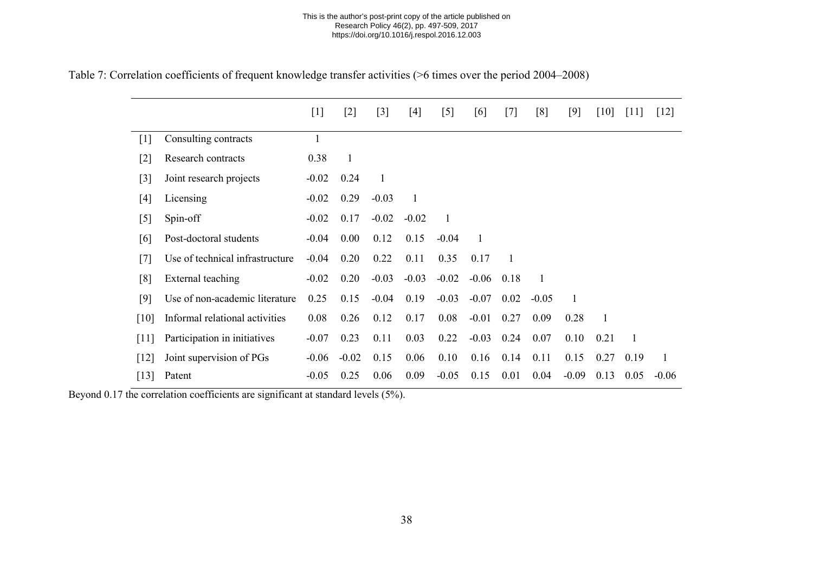|  |  | Table 7: Correlation coefficients of frequent knowledge transfer activities (>6 times over the period 2004–2008) |  |
|--|--|------------------------------------------------------------------------------------------------------------------|--|
|  |  |                                                                                                                  |  |

|                   |                                 | $[1]$   | $[2]$        | $[3]$        | $[4]$        | $[5]$   | [6]     | $[7]$          | [8]     | $[9]$   | $[10]$       | $[11]$       | $[12]$       |
|-------------------|---------------------------------|---------|--------------|--------------|--------------|---------|---------|----------------|---------|---------|--------------|--------------|--------------|
| $\lceil 1 \rceil$ | Consulting contracts            |         |              |              |              |         |         |                |         |         |              |              |              |
| $[2]$             | Research contracts              | 0.38    | $\mathbf{1}$ |              |              |         |         |                |         |         |              |              |              |
| $[3]$             | Joint research projects         | $-0.02$ | 0.24         | $\mathbf{1}$ |              |         |         |                |         |         |              |              |              |
| $[4]$             | Licensing                       | $-0.02$ | 0.29         | $-0.03$      | $\mathbf{1}$ |         |         |                |         |         |              |              |              |
| $[5]$             | Spin-off                        | $-0.02$ | 0.17         | $-0.02$      | $-0.02$      | 1       |         |                |         |         |              |              |              |
| [6]               | Post-doctoral students          | $-0.04$ | 0.00         | 0.12         | 0.15         | $-0.04$ | 1       |                |         |         |              |              |              |
| [7]               | Use of technical infrastructure | $-0.04$ | 0.20         | 0.22         | 0.11         | 0.35    | 0.17    | $\overline{1}$ |         |         |              |              |              |
| [8]               | External teaching               | $-0.02$ | 0.20         | $-0.03$      | $-0.03$      | $-0.02$ | $-0.06$ | 0.18           |         |         |              |              |              |
| [9]               | Use of non-academic literature  | 0.25    | 0.15         | $-0.04$      | 0.19         | $-0.03$ | $-0.07$ | 0.02           | $-0.05$ | 1       |              |              |              |
| [10]              | Informal relational activities  | 0.08    | 0.26         | 0.12         | 0.17         | 0.08    | $-0.01$ | 0.27           | 0.09    | 0.28    | $\mathbf{1}$ |              |              |
| [11]              | Participation in initiatives    | $-0.07$ | 0.23         | 0.11         | 0.03         | 0.22    | $-0.03$ | 0.24           | 0.07    | 0.10    | 0.21         | $\mathbf{1}$ |              |
| [12]              | Joint supervision of PGs        | $-0.06$ | $-0.02$      | 0.15         | 0.06         | 0.10    | 0.16    | 0.14           | 0.11    | 0.15    | 0.27         | 0.19         | $\mathbf{1}$ |
| [13]              | Patent                          | $-0.05$ | 0.25         | 0.06         | 0.09         | $-0.05$ | 0.15    | 0.01           | 0.04    | $-0.09$ | 0.13         | 0.05         | $-0.06$      |

<span id="page-38-0"></span>Beyond 0.17 the correlation coefficients are significant at standard levels (5%).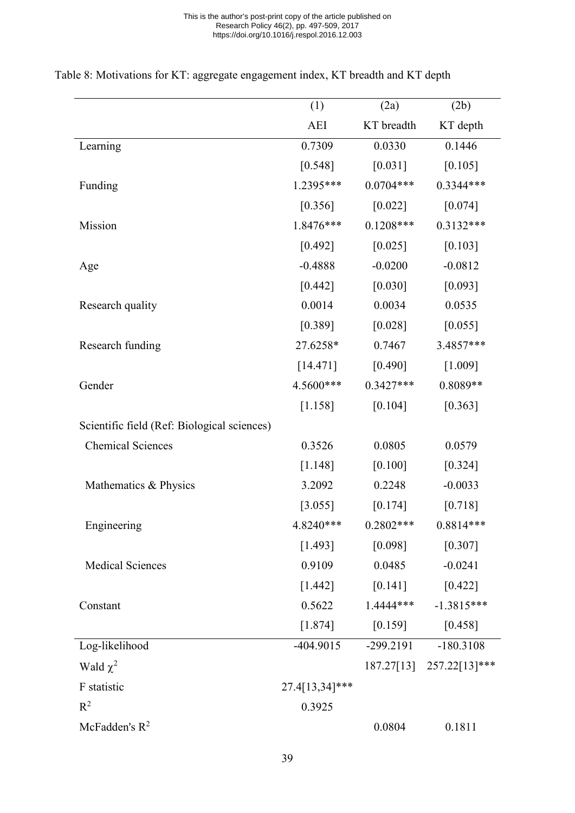|                                             | (1)            | (2a)                | (2b)                     |
|---------------------------------------------|----------------|---------------------|--------------------------|
|                                             | AEI            | KT breadth          | KT depth                 |
| Learning                                    | 0.7309         | 0.0330              | 0.1446                   |
|                                             | [0.548]        | $[0.031]$           | [0.105]                  |
| Funding                                     | 1.2395***      | $0.0704***$         | 0.3344***                |
|                                             | [0.356]        | [0.022]             | [0.074]                  |
| Mission                                     | 1.8476***      | $0.1208***$         | $0.3132***$              |
|                                             | [0.492]        | [0.025]             | [0.103]                  |
| Age                                         | $-0.4888$      | $-0.0200$           | $-0.0812$                |
|                                             | $[0.442]$      | $[0.030]$           | [0.093]                  |
| Research quality                            | 0.0014         | 0.0034              | 0.0535                   |
|                                             | [0.389]        | [0.028]             | [0.055]                  |
| Research funding                            | 27.6258*       | 0.7467              | 3.4857***                |
|                                             | [14.471]       | [0.490]             | [1.009]                  |
| Gender                                      | 4.5600***      | $0.3427***$         | 0.8089**                 |
|                                             | [1.158]        | [0.104]             | [0.363]                  |
| Scientific field (Ref: Biological sciences) |                |                     |                          |
| <b>Chemical Sciences</b>                    | 0.3526         | 0.0805              | 0.0579                   |
|                                             | $[1.148]$      | [0.100]             | [0.324]                  |
| Mathematics & Physics                       | 3.2092         | 0.2248              | $-0.0033$                |
|                                             | [3.055]        | [0.174]             | [0.718]                  |
| Engineering                                 | 4.8240***      | $0.2802***$         | $0.8814***$              |
|                                             | [1.493]        | [0.098]             | [0.307]                  |
| <b>Medical Sciences</b>                     | 0.9109         | 0.0485              | $-0.0241$                |
|                                             | [1.442]        | [0.141]             | $[0.422]$                |
| Constant                                    | 0.5622         | 1.4444***           | $-1.3815***$             |
|                                             |                | $[1.874]$ $[0.159]$ | [0.458]                  |
| Log-likelihood                              | $-404.9015$    |                     | -299.2191 -180.3108      |
| Wald $\chi^2$                               |                |                     | 187.27[13] 257.22[13]*** |
| F statistic                                 | 27.4[13,34]*** |                     |                          |
| $R^2$                                       | 0.3925         |                     |                          |
| McFadden's $R^2$                            |                | 0.0804              | 0.1811                   |

# <span id="page-39-0"></span>Table 8: Motivations for KT: aggregate engagement index, KT breadth and KT depth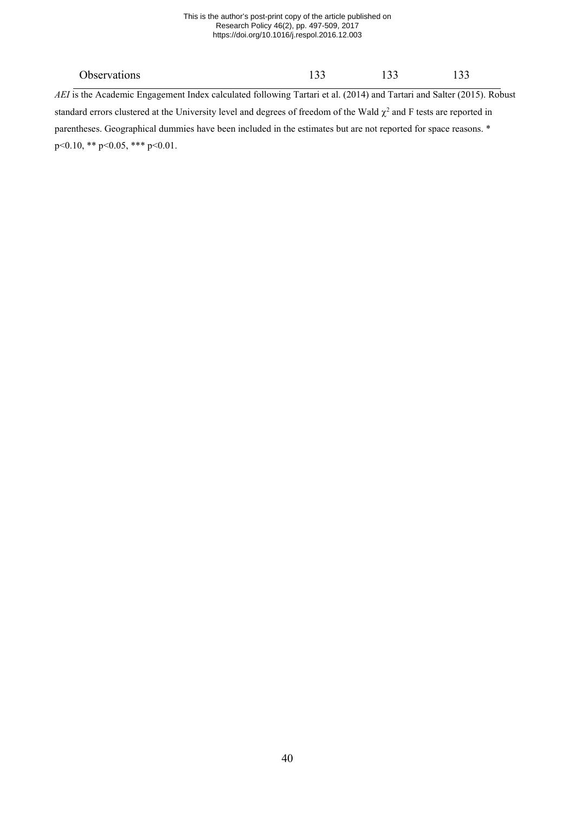#### This is the author's post-print copy of the article published on Research Policy 46(2), pp. 497-509, 2017 https://doi.org/10.1016/j.respol.2016.12.003

| <b>Observations</b>                                                                                                       | 133 | 133 | 133 |  |
|---------------------------------------------------------------------------------------------------------------------------|-----|-----|-----|--|
| AEI is the Academic Engagement Index calculated following Tartari et al. (2014) and Tartari and Salter (2015). Robust     |     |     |     |  |
| standard errors clustered at the University level and degrees of freedom of the Wald $\chi^2$ and F tests are reported in |     |     |     |  |
| parentheses. Geographical dummies have been included in the estimates but are not reported for space reasons. *           |     |     |     |  |
| $p<0.10$ , ** $p<0.05$ , *** $p<0.01$ .                                                                                   |     |     |     |  |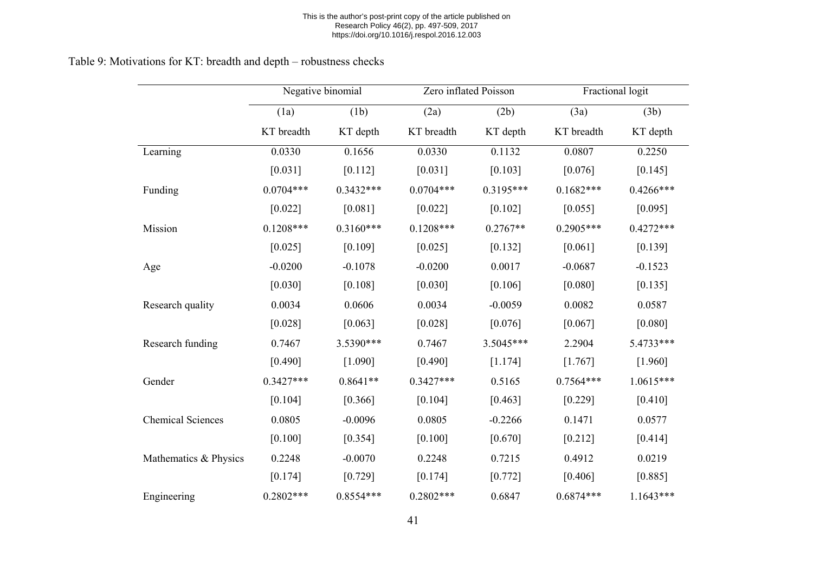#### This is the author's post-print copy of the article published on Research Policy 46(2), pp. 497-509, 2017 https://doi.org/10.1016/j.respol.2016.12.003

# Table 9: Motivations for KT: breadth and depth – robustness checks

<span id="page-41-0"></span>

|                          | Negative binomial |             | Zero inflated Poisson |             | Fractional logit |             |
|--------------------------|-------------------|-------------|-----------------------|-------------|------------------|-------------|
|                          | (1a)              | (1b)        | (2a)                  | (2b)        | (3a)             | (3b)        |
|                          | KT breadth        | KT depth    | KT breadth            | KT depth    | KT breadth       | KT depth    |
| Learning                 | 0.0330            | 0.1656      | 0.0330                | 0.1132      | 0.0807           | 0.2250      |
|                          | [0.031]           | [0.112]     | [0.031]               | [0.103]     | [0.076]          | [0.145]     |
| Funding                  | $0.0704***$       | $0.3432***$ | $0.0704***$           | $0.3195***$ | $0.1682***$      | $0.4266***$ |
|                          | [0.022]           | [0.081]     | [0.022]               | [0.102]     | [0.055]          | [0.095]     |
| Mission                  | $0.1208***$       | $0.3160***$ | $0.1208***$           | $0.2767**$  | $0.2905***$      | $0.4272***$ |
|                          | [0.025]           | [0.109]     | [0.025]               | [0.132]     | [0.061]          | [0.139]     |
| Age                      | $-0.0200$         | $-0.1078$   | $-0.0200$             | 0.0017      | $-0.0687$        | $-0.1523$   |
|                          | [0.030]           | [0.108]     | [0.030]               | [0.106]     | [0.080]          | [0.135]     |
| Research quality         | 0.0034            | 0.0606      | 0.0034                | $-0.0059$   | 0.0082           | 0.0587      |
|                          | [0.028]           | [0.063]     | [0.028]               | [0.076]     | [0.067]          | [0.080]     |
| Research funding         | 0.7467            | 3.5390***   | 0.7467                | 3.5045***   | 2.2904           | 5.4733***   |
|                          | [0.490]           | [1.090]     | [0.490]               | [1.174]     | [1.767]          | [1.960]     |
| Gender                   | $0.3427***$       | $0.8641**$  | $0.3427***$           | 0.5165      | $0.7564***$      | $1.0615***$ |
|                          | [0.104]           | [0.366]     | [0.104]               | [0.463]     | [0.229]          | [0.410]     |
| <b>Chemical Sciences</b> | 0.0805            | $-0.0096$   | 0.0805                | $-0.2266$   | 0.1471           | 0.0577      |
|                          | [0.100]           | [0.354]     | [0.100]               | [0.670]     | $[0.212]$        | [0.414]     |
| Mathematics & Physics    | 0.2248            | $-0.0070$   | 0.2248                | 0.7215      | 0.4912           | 0.0219      |
|                          | [0.174]           | [0.729]     | [0.174]               | [0.772]     | [0.406]          | [0.885]     |
| Engineering              | $0.2802***$       | 0.8554 ***  | $0.2802***$           | 0.6847      | $0.6874***$      | $1.1643***$ |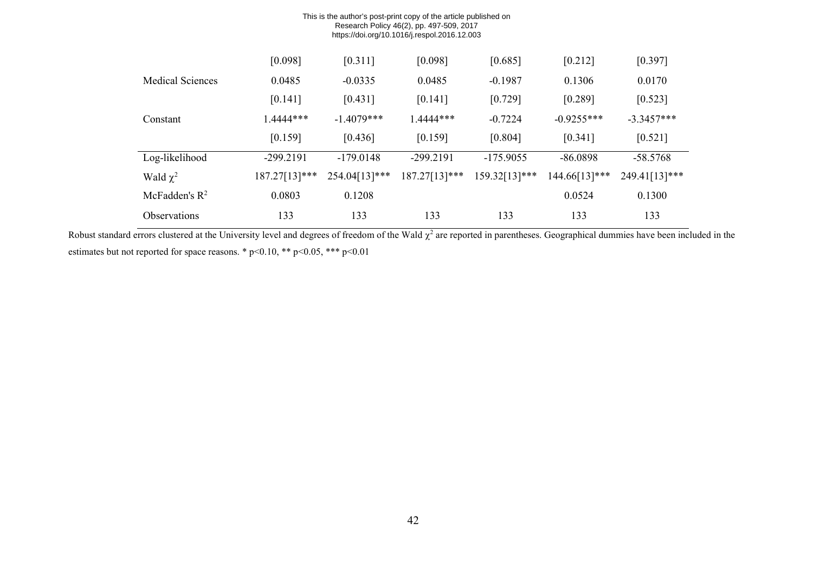| This is the author's post-print copy of the article published on<br>Research Policy 46(2), pp. 497-509, 2017<br>https://doi.org/10.1016/j.respol.2016.12.003 |               |               |               |               |               |               |  |
|--------------------------------------------------------------------------------------------------------------------------------------------------------------|---------------|---------------|---------------|---------------|---------------|---------------|--|
|                                                                                                                                                              | [0.098]       | [0.311]       | [0.098]       | [0.685]       | [0.212]       | [0.397]       |  |
| <b>Medical Sciences</b>                                                                                                                                      | 0.0485        | $-0.0335$     | 0.0485        | $-0.1987$     | 0.1306        | 0.0170        |  |
|                                                                                                                                                              | [0.141]       | [0.431]       | [0.141]       | [0.729]       | [0.289]       | [0.523]       |  |
| Constant                                                                                                                                                     | 1.4444***     | $-1.4079***$  | 1.4444***     | $-0.7224$     | $-0.9255***$  | $-3.3457***$  |  |
|                                                                                                                                                              | [0.159]       | [0.436]       | [0.159]       | [0.804]       | [0.341]       | [0.521]       |  |
| Log-likelihood                                                                                                                                               | $-299.2191$   | $-179.0148$   | $-299.2191$   | $-175.9055$   | $-86.0898$    | $-58.5768$    |  |
| Wald $\chi^2$                                                                                                                                                | 187.27[13]*** | 254.04[13]*** | 187.27[13]*** | 159.32[13]*** | 144.66[13]*** | 249.41[13]*** |  |
| McFadden's $R^2$                                                                                                                                             | 0.0803        | 0.1208        |               |               | 0.0524        | 0.1300        |  |
| <b>Observations</b>                                                                                                                                          | 133           | 133           | 133           | 133           | 133           | 133           |  |

Robust standard errors clustered at the University level and degrees of freedom of the Wald  $\chi^2$  are reported in parentheses. Geographical dummies have been included in the estimates but not reported for space reasons. \* p<0.10, \*\* p<0.05, \*\*\* p<0.01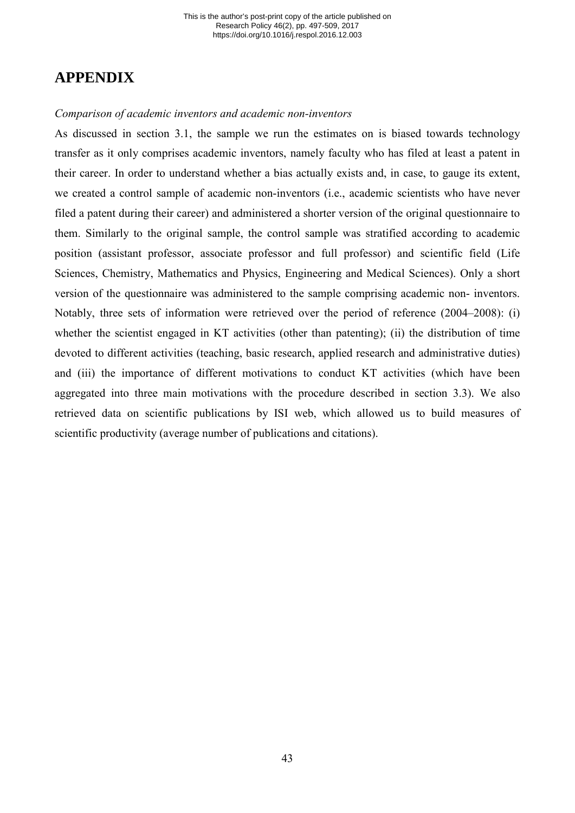# **APPENDIX**

### *Comparison of academic inventors and academic non-inventors*

As discussed in section 3.1, the sample we run the estimates on is biased towards technology transfer as it only comprises academic inventors, namely faculty who has filed at least a patent in their career. In order to understand whether a bias actually exists and, in case, to gauge its extent, we created a control sample of academic non-inventors (i.e., academic scientists who have never filed a patent during their career) and administered a shorter version of the original questionnaire to them. Similarly to the original sample, the control sample was stratified according to academic position (assistant professor, associate professor and full professor) and scientific field (Life Sciences, Chemistry, Mathematics and Physics, Engineering and Medical Sciences). Only a short version of the questionnaire was administered to the sample comprising academic non- inventors. Notably, three sets of information were retrieved over the period of reference (2004–2008): (i) whether the scientist engaged in KT activities (other than patenting); (ii) the distribution of time devoted to different activities (teaching, basic research, applied research and administrative duties) and (iii) the importance of different motivations to conduct KT activities (which have been aggregated into three main motivations with the procedure described in section 3.3). We also retrieved data on scientific publications by ISI web, which allowed us to build measures of scientific productivity (average number of publications and citations).